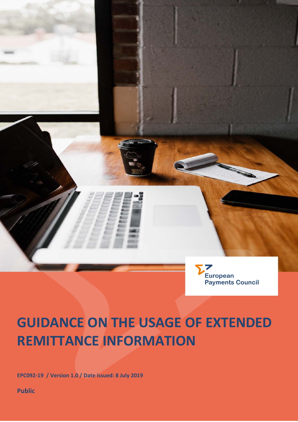

# **GUIDANCE ON THE USAGE OF EXTENDED REMITTANCE INFORMATION**

**EPC092-19 / Version 1.0 / Date issued: 8 July 2019** 

**Public**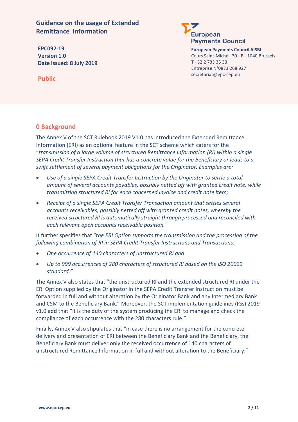**Guidance on the usage of Extended Remittance Information**

**EPC092-19 Version 1.0 Date issued: 8 July 2019** **European Payments Council** 

> **European Payments Council AISBL** Cours Saint-Michel, 30 - B - 1040 Brussels T +32 2 733 35 33 Entreprise N°0873.268.927 secretariat@epc-cep.eu

**Public**

# **0 Background**

The Annex V of the SCT Rulebook 2019 V1.0 has introduced the Extended Remittance Information (ERI) as an optional feature in the SCT scheme which caters for the "*transmission of a large volume of structured Remittance Information (RI) within a single SEPA Credit Transfer Instruction that has a concrete value for the Beneficiary or leads to a swift settlement of several payment obligations for the Originator. Examples are:*

- *Use of a single SEPA Credit Transfer Instruction by the Originator to settle a total amount of several accounts payables, possibly netted off with granted credit note, while transmitting structured RI for each concerned invoice and credit note item;*
- *Receipt of a single SEPA Credit Transfer Transaction amount that settles several accounts receivables, possibly netted off with granted credit notes, whereby the received structured RI is automatically straight through processed and reconciled with each relevant open accounts receivable position."*

It further specifies that "*the ERI Option supports the transmission and the processing of the following combination of RI in SEPA Credit Transfer Instructions and Transactions:*

- *One occurrence of 140 characters of unstructured RI and*
- *Up to 999 occurrences of 280 characters of structured RI based on the ISO 20022 standard."*

The Annex V also states that "the unstructured RI and the extended structured RI under the ERI Option supplied by the Originator in the SEPA Credit Transfer Instruction must be forwarded in full and without alteration by the Originator Bank and any Intermediary Bank and CSM to the Beneficiary Bank." Moreover, the SCT implementation guidelines (IGs) 2019 v1.0 add that "it is the duty of the system producing the ERI to manage and check the compliance of each occurrence with the 280 characters rule."

Finally, Annex V also stipulates that "in case there is no arrangement for the concrete delivery and presentation of ERI between the Beneficiary Bank and the Beneficiary, the Beneficiary Bank must deliver only the received occurrence of 140 characters of unstructured Remittance Information in full and without alteration to the Beneficiary."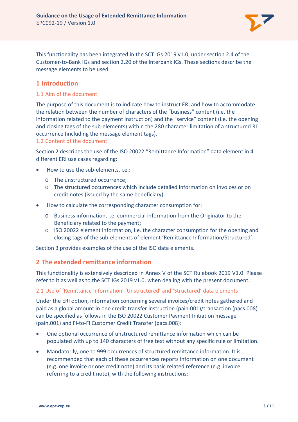

This functionality has been integrated in the SCT IGs 2019 v1.0, under section 2.4 of the Customer-to-Bank IGs and section 2.20 of the Interbank IGs. These sections describe the message elements to be used.

# **1 Introduction**

## 1.1 Aim of the document

The purpose of this document is to indicate how to instruct ERI and how to accommodate the relation between the number of characters of the "business" content (i.e. the information related to the payment instruction) and the "service" content (i.e. the opening and closing tags of the sub-elements) within the 280 character limitation of a structured RI occurrence (including the message element tags).

#### 1.2 Content of the document

Section 2 describes the use of the ISO 20022 "Remittance Information" data element in 4 different ERI use cases regarding:

- How to use the sub-elements, i.e.:
	- o The unstructured occurrence;
	- o The structured occurrences which include detailed information on invoices or on credit notes (issued by the same beneficiary).
- How to calculate the corresponding character consumption for:
	- o Business information, i.e. commercial information from the Originator to the Beneficiary related to the payment;
	- o ISO 20022 element information, i.e. the character consumption for the opening and closing tags of the sub-elements of element 'Remittance Information/Structured'.

Section 3 provides examples of the use of the ISO data elements.

## **2 The extended remittance information**

This functionality is extensively described in Annex V of the SCT Rulebook 2019 V1.0. Please refer to it as well as to the SCT IGs 2019 v1.0, when dealing with the present document.

#### 2.1 Use of 'Remittance Information' 'Unstructured' and 'Structured' data elements

Under the ERI option, information concerning several invoices/credit notes gathered and paid as a global amount in one credit transfer instruction (pain.001)/transaction (pacs.008) can be specified as follows in the ISO 20022 Customer Payment Initiation message (pain.001) and FI-to-FI Customer Credit Transfer (pacs.008):

- One optional occurrence of unstructured remittance information which can be populated with up to 140 characters of free text without any specific rule or limitation.
- Mandatorily, one to 999 occurrences of structured remittance information. It is recommended that each of these occurrences reports information on one document (e.g. one invoice or one credit note) and its basic related reference (e.g. invoice referring to a credit note), with the following instructions: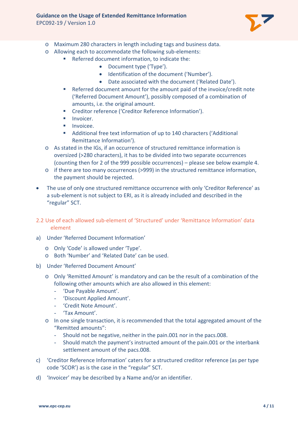

- o Maximum 280 characters in length including tags and business data.
- o Allowing each to accommodate the following sub-elements:
	- Referred document information, to indicate the:
		- Document type ('Type').
		- Identification of the document ('Number').
		- Date associated with the document ('Related Date').
		- Referred document amount for the amount paid of the invoice/credit note ('Referred Document Amount'), possibly composed of a combination of amounts, i.e. the original amount.
		- **EXECTE:** Creditor reference ('Creditor Reference Information').
		- $\blacksquare$  Invoicer.
		- Invoicee.
		- Additional free text information of up to 140 characters ('Additional Remittance Information').
- o As stated in the IGs, if an occurrence of structured remittance information is oversized (>280 characters), it has to be divided into two separate occurrences (counting then for 2 of the 999 possible occurrences) – please see below example 4.
- o if there are too many occurrences (>999) in the structured remittance information, the payment should be rejected.
- The use of only one structured remittance occurrence with only 'Creditor Reference' as a sub-element is not subject to ERI, as it is already included and described in the "regular" SCT.
- 2.2 Use of each allowed sub-element of 'Structured' under 'Remittance Information' data element
- a) Under 'Referred Document Information'
	- o Only 'Code' is allowed under 'Type'.
	- o Both 'Number' and 'Related Date' can be used.
- b) Under 'Referred Document Amount'
	- o Only 'Remitted Amount' is mandatory and can be the result of a combination of the following other amounts which are also allowed in this element:
		- 'Due Payable Amount'.
		- 'Discount Applied Amount'.
		- 'Credit Note Amount'.
		- 'Tax Amount'.
	- o In one single transaction, it is recommended that the total aggregated amount of the "Remitted amounts":
		- Should not be negative, neither in the pain.001 nor in the pacs.008.
		- Should match the payment's instructed amount of the pain.001 or the interbank settlement amount of the pacs.008.
- c) 'Creditor Reference Information' caters for a structured creditor reference (as per type code 'SCOR') as is the case in the "regular" SCT.
- d) 'Invoicer' may be described by a Name and/or an identifier.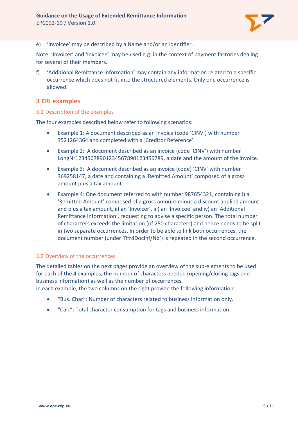

e) 'Invoicee' may be described by a Name and/or an identifier.

Note: 'Invoicer' and 'Invoicee' may be used e.g. in the context of payment factories dealing for several of their members.

f) 'Additional Remittance Information' may contain any information related to a specific occurrence which does not fit into the structured elements. Only one occurrence is allowed.

## **3 ERI examples**

#### 3.1 Description of the examples

The four examples described below refer to following scenarios:

- Example 1: A document described as an invoice (code 'CINV') with number 3521264364 and completed with a 'Creditor Reference'.
- Example 2: A document described as an invoice (code 'CINV') with number LongNr12345678901234567890123456789, a date and the amount of the invoice.
- Example 3: A document described as an invoice (code) 'CINV' with number 369258147, a date and containing a 'Remitted Amount' composed of a gross amount plus a tax amount.
- Example 4: One document referred to with number 987654321, containing i) a 'Remitted Amount' composed of a gross amount minus a discount applied amount and plus a tax amount, ii) an 'Invoicer', iii) an 'Invoicee' and iv) an 'Additional Remittance Information', requesting to advise a specific person. The total number of characters exceeds the limitation (of 280 characters) and hence needs to be split in two separate occurrences. In order to be able to link both occurrences, the document number (under 'RfrdDocInf/Nb') is repeated in the second occurrence.

#### 3.2 Overview of the occurrences

The detailed tables on the next pages provide an overview of the sub-elements to be used for each of the 4 examples, the number of characters needed (opening/closing tags and business information) as well as the number of occurrences.

In each example, the two columns on the right provide the following information:

- "Bus. Char": Number of characters related to business information only.
- "Calc": Total character consumption for tags and business information.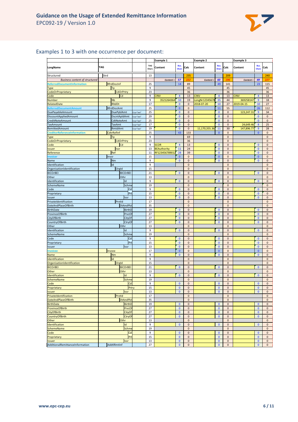

## Examples 1 to 3 with one occurrence per document:

|                                         |                   |           |                     | Example 1          |                       | <b>Example 2</b>         |                |                           | <b>Example 3</b>         |             |                       |                |
|-----------------------------------------|-------------------|-----------|---------------------|--------------------|-----------------------|--------------------------|----------------|---------------------------|--------------------------|-------------|-----------------------|----------------|
| LongName                                | <b>TAG</b>        |           | <b>TAG</b><br>Chars | Content            | Bus.<br>Chars         | Calc                     | Content        | Bus.<br>Chars             | Calc                     | Content     | Bus.<br>Chars         | Calc           |
| Structured                              | Strd              |           | 13                  |                    |                       | 235                      |                |                           | 209                      |             |                       | 240            |
| <b>Business content of structured</b>   |                   |           |                     | Content =          | 57                    | 222                      | Content =      | 60                        | 196                      | Content =   | 49                    |                |
| <b>ReferredDocumentInformation</b>      | RfrdDocInf        |           | 25                  |                    | 14                    | 89                       |                | 49                        | 141                      |             | 23                    | 115            |
|                                         | Tp                |           | $\boldsymbol{9}$    |                    |                       | 45                       |                |                           | 45                       |             |                       | 45             |
| <b>Type</b><br><b>CodeOrProprietary</b> | <b>CdOrPrtry</b>  |           | 23                  |                    |                       | 36                       |                |                           | 36                       |             |                       | 36             |
| Code                                    | Cd                |           | 9                   | <b>CINV</b>        | $\overline{4}$        | 13                       | <b>CINV</b>    | $\overline{4}$            | 13                       | <b>CINV</b> | $\overline{4}$        | 13             |
| <b>Number</b>                           | Nb                |           | 9                   | 3521264364         | 10                    | 19                       | LongNr12345678 | 35                        | 44                       | 369258147   | $\overline{9}$        | 18             |
| RelatedDate                             | RItdDt            |           | 17                  |                    | $\mathbf{0}$          | $\mathbf 0$              | 2018-07-20     | 10                        | 27                       | 2019-04-15  | 10                    | 27             |
| ReferredDocumentAmount                  | RfrdDocAmt        |           | 25                  |                    | $\mathbf{0}$          | $\mathbf 0$              |                | 11                        | 55                       |             | 26                    | 112            |
| DuePayableAmount                        | DuePyblAmt        | Ccy="xxx" | 25                  |                    | $\mathbf{0}$          | $\mathbf 0$              |                | $\mathbf{0}$              | $\mathbf 0$              | 123,247.31  | 9                     | 34             |
| DiscountAppliedAmount                   | DscntApldAmt      | Ccy="xxx" | 29                  |                    | $\bf{0}$              | $\pmb{0}$                |                | $\mathbf{0}$              | $\pmb{0}$                |             | $\mathbf{0}$          | $\pmb{0}$      |
| CreditNoteAmount                        | CdtNoteAmt        | Ccy="xxx" | 25                  |                    | $\pmb{0}$             | $\mathbf 0$              |                | $\pmb{0}$                 | $\mathbf 0$              |             | $\pmb{0}$             | $\mathbf 0$    |
| <b>TaxAmount</b>                        | <b>TaxAmt</b>     | Ccy="xxx" | 17                  |                    | $\mathbf{0}$          | $\pmb{0}$                |                | $\mathbf{0}$              | $\pmb{0}$                | 24,649.46   | $\boldsymbol{8}$      | 25             |
| RemittedAmount                          | RmtdAmt           | Ccy="xxx" | 19                  |                    | $\bf{0}$              | $\pmb{0}$                | 11,170,355.36  | 11                        | 30                       | 147,896.77  | $\overline{9}$        | 28             |
| <b>CreditorReferenceInformation</b>     | <b>CdtrRefInf</b> |           | 25                  |                    | 43                    | 133                      |                | $\mathbf{0}$              | $\pmb{0}$                |             | $\mathbf{0}$          | $\pmb{0}$      |
| <b>Type</b>                             | Tp                |           | 9                   |                    |                       | 69                       |                |                           | $\mathbf 0$              |             |                       | $\mathbf 0$    |
| <b>CodeOrProprietary</b>                | <b>CdOrPrtry</b>  |           | 23                  |                    |                       | 36                       |                |                           | $\mathbf 0$              |             |                       | $\pmb{0}$      |
| Code                                    | <b>Cd</b>         |           | $\boldsymbol{9}$    | <b>SCOR</b>        | $\overline{4}$        | 13                       |                | $\pmb{0}$                 | $\pmb{0}$                |             | $\pmb{0}$             | $\pmb{0}$      |
| <b>Issuer</b>                           | <b>Issr</b>       |           | 13                  | <b>BEAuthority</b> | 11                    | 24                       |                | $\mathbf{0}$              | $\pmb{0}$                |             | $\mathbf{0}$          | $\pmb{0}$      |
| Reference                               | Ref               |           | 11                  | RF12345678901      | 28                    | 39                       |                | $\mathbf{0}$              | $\mathbf 0$              |             | $\mathbf{0}$          | $\pmb{0}$      |
| Invoicer                                | Invcr             |           | 15                  |                    | $\bf{0}$              | $\pmb{0}$                |                | $\pmb{0}$                 | $\pmb{0}$                |             | $\pmb{0}$             | $\mathbf 0$    |
| Name                                    | Nm                |           | 9                   |                    | $\mathbf{0}$          | $\pmb{0}$                |                | $\mathbf{0}$              | $\pmb{0}$                |             | $\mathbf{0}$          | $\pmb{0}$      |
| Identification                          | Id                |           | 9                   |                    |                       | $\mathbf 0$              |                |                           | $\mathbf 0$              |             |                       | 0              |
| OrganisationIdentification              | Orgid             |           | 15                  |                    |                       | $\pmb{0}$                |                |                           | $\pmb{0}$                |             |                       | $\pmb{0}$      |
| <b>BICOrBEI</b>                         | <b>BICOrBEI</b>   |           | 21                  |                    | $\bf{0}$              | $\mathbf 0$              |                | $\bf{0}$                  | $\mathbf 0$              |             | $\bf{0}$              | $\mathbf 0$    |
| Other                                   | Othr              |           | 13                  |                    |                       | $\pmb{0}$                |                |                           | $\pmb{0}$                |             |                       | $\mathbf 0$    |
| Identification                          | Id                |           | 9                   |                    | $\mathbf{0}$          | $\pmb{0}$                |                | $\mathbf{0}$              | $\pmb{0}$                |             | $\mathbf{0}$          | $\mathbf 0$    |
| SchemeName                              | Schme             |           | 19                  |                    |                       | $\pmb{0}$                |                |                           | $\mathbf 0$              |             |                       | $\mathbf 0$    |
| Code                                    | Cd                |           | $\boldsymbol{9}$    |                    | $\bf{0}$              | $\pmb{0}$                |                | $\mathbf{0}$              | $\pmb{0}$                |             | $\mathbf{0}$          | $\pmb{0}$      |
| Proprietary                             | Prt               |           | 15                  |                    | $\pmb{0}$             | $\mathbf 0$              |                | $\pmb{0}$                 | $\mathbf 0$              |             | $\pmb{0}$             | $\mathbf 0$    |
| Issuer                                  | Issr              |           | 13                  |                    | $\bf{0}$              | $\pmb{0}$                |                | $\mathbf{0}$              | $\pmb{0}$                |             | $\bf{0}$              | $\mathbf 0$    |
| PrivateIdentification                   | Prvtld            |           | 17                  |                    |                       | $\mathbf 0$              |                |                           | $\mathbf 0$              |             |                       | $\mathbf 0$    |
| DateAndPlaceOfBirth                     | <b>DtAndPlc</b>   |           | 35                  |                    |                       | $\pmb{0}$                |                |                           | $\mathbf 0$              |             |                       | $\pmb{0}$      |
| <b>BirthDate</b>                        | <b>BirthD</b>     |           | 19                  |                    | $\mathbf{0}$          | $\pmb{0}$                |                | $\mathbf{0}$              | $\mathbf 0$              |             | $\mathbf{0}$          | 0              |
| ProvinceOfBirth                         | PrvcO             |           | 27                  |                    | $\bf{0}$              | $\pmb{0}$                |                | $\mathbf{0}$              | $\pmb{0}$                |             | $\bf{0}$              | $\pmb{0}$      |
| CityOfBirth                             | CityOf            |           | 27                  |                    | $\mathbf{0}$          | $\mathbf 0$              |                | $\mathbf{0}$              | $\mathbf 0$              |             | $\mathbf{0}$          | $\mathbf 0$    |
| CountryOfBirth                          | CtryOf            |           | 27                  |                    | $\pmb{0}$             | $\pmb{0}$                |                | $\overline{0}$            | $\pmb{0}$                |             | $\overline{0}$        | $\mathbf 0$    |
| Other                                   | Othr              |           | 13                  |                    |                       | $\mathbf 0$              |                |                           | $\mathbf 0$              |             |                       | $\pmb{0}$      |
| Identification                          | Id                |           | 9                   |                    | $\mathbf 0$           | $\pmb{0}$                |                | $\mathbf{0}$              | $\pmb{0}$                |             | $\mathbf 0$           | $\mathbf 0$    |
| SchemeName                              | Schme             |           | 19                  |                    |                       | $\mathbf 0$              |                |                           | $\mathbf 0$              |             |                       | $\mathbf 0$    |
| Code                                    | Cd                |           | $\boldsymbol{9}$    |                    | $\mathbf{0}$          | $\mathbf 0$              |                | $\mathbf{0}$              | $\mathbf 0$              |             | $\mathbf{0}$          | $\pmb{0}$      |
| Proprietary                             | Pr                |           | 15                  |                    | $\pmb{0}$<br>$\bf{0}$ | $\pmb{0}$                |                | $\pmb{0}$<br>$\mathbf{0}$ | $\pmb{0}$                |             | $\pmb{0}$<br>$\bf{0}$ | $\pmb{0}$      |
| Issuer                                  | Issr              |           | 13<br>17            |                    | $\mathbf{0}$          | $\mathbf 0$<br>$\pmb{0}$ |                | $\mathbf{0}$              | $\mathbf 0$<br>$\pmb{0}$ |             | $\mathbf{0}$          | $\mathbf 0$    |
| Invoicee<br>Name                        | Invcee<br>Nm      |           | 9                   |                    | $\bf{0}$              | $\mathbf 0$              |                | $\mathbf{0}$              | $\mathbf 0$              |             | $\bf{0}$              | $\pmb{0}$<br>0 |
| Identification                          | Id                |           | 9                   |                    |                       | $\pmb{0}$                |                |                           | $\pmb{0}$                |             |                       | $\pmb{0}$      |
| OrganisationIdentification              | Orgid             |           | 15                  |                    |                       | $\mathbf 0$              |                |                           | $\mathbf 0$              |             |                       | $\mathbf 0$    |
| <b>BICOrBEI</b>                         | <b>BICOrBEI</b>   |           | 21                  |                    | $\pmb{0}$             | $\pmb{0}$                |                | $\mathbf{0}$              | $\pmb{0}$                |             | $\mathbf{0}$          | $\pmb{0}$      |
| Other                                   | Othr              |           | 13                  |                    |                       | $\pmb{0}$                |                |                           | $\pmb{0}$                |             |                       | $\mathbf 0$    |
| Identification                          | Id                |           | $\overline{9}$      |                    | $\bf{0}$              | $\pmb{0}$                |                | $\mathbf{0}$              | $\pmb{0}$                |             | $\bf{0}$              | $\mathbf 0$    |
| <b>SchemeName</b>                       | Schme             |           | 19                  |                    |                       | $\mathbf 0$              |                |                           | $\mathbf 0$              |             |                       | $\mathbf 0$    |
| code                                    | ca <sub>l</sub>   |           | Э                   |                    | $\mathbf{0}$          | $\mathbf 0$              |                | $\mathbf{0}$              | 0                        |             | $\mathbf{0}$          | $\mathbf{0}$   |
| Proprietary                             | Prtry             |           | 15                  |                    | $\pmb{0}$             | $\pmb{0}$                |                | $\pmb{0}$                 | $\pmb{0}$                |             | $\pmb{0}$             | $\pmb{0}$      |
| Issuer                                  | Issr              |           | 13                  |                    | $\mathbf{0}$          | $\mathbf 0$              |                | $\mathbf{0}$              | $\pmb{0}$                |             | $\mathbf{0}$          | $\mathbf 0$    |
| PrivateIdentification                   | Prvtld            |           | 17                  |                    |                       | $\pmb{0}$                |                |                           | $\pmb{0}$                |             |                       | $\mathbf 0$    |
| <b>DateAndPlaceOfBirth</b>              | <b>DtAndPlc</b>   |           | 35                  |                    |                       | $\pmb{0}$                |                |                           | $\mathbf 0$              |             |                       | $\pmb{0}$      |
| <b>BirthDate</b>                        | BirthD            |           | 19                  |                    | $\pmb{0}$             | $\pmb{0}$                |                | $\pmb{0}$                 | $\pmb{0}$                |             | $\pmb{0}$             | $\pmb{0}$      |
| <b>ProvinceOfBirth</b>                  | PrvcOf            |           | 27                  |                    | $\pmb{0}$             | $\pmb{0}$                |                | $\pmb{0}$                 | $\pmb{0}$                |             | $\pmb{0}$             | $\pmb{0}$      |
| <b>CityOfBirth</b>                      | CityOf            |           | 27                  |                    | $\mathbf{0}$          | $\pmb{0}$                |                | $\mathbf{0}$              | $\pmb{0}$                |             | $\mathbf{0}$          | $\pmb{0}$      |
| <b>CountryOfBirth</b>                   | CtryOf            |           | 27                  |                    | $\pmb{0}$             | $\pmb{0}$                |                | $\pmb{0}$                 | $\pmb{0}$                |             | $\pmb{0}$             | $\pmb{0}$      |
| Other                                   | Othr              |           | 13                  |                    |                       | $\pmb{0}$                |                |                           | $\pmb{0}$                |             |                       | $\pmb{0}$      |
| Identification                          | Id                |           | 9                   |                    | $\mathbf{0}$          | $\pmb{0}$                |                | $\mathbf{0}$              | $\pmb{0}$                |             | $\mathbf{0}$          | $\mathbf 0$    |
| <b>SchemeName</b>                       | Schme             |           | 19                  |                    |                       | $\mathbf 0$              |                |                           | $\pmb{0}$                |             |                       | $\mathbf 0$    |
| Code                                    | Cd                |           | $\boldsymbol{9}$    |                    | $\mathbf{0}$          | $\pmb{0}$                |                | $\mathbf{0}$              | $\pmb{0}$                |             | $\mathbf{0}$          | $\pmb{0}$      |
| Proprietary                             | Prt               |           | 15                  |                    | 0                     | $\pmb{0}$                |                | $\pmb{0}$                 | $\pmb{0}$                |             | $\pmb{0}$             | $\mathbf 0$    |
| <b>Issuer</b>                           | <b>Issr</b>       |           | 13                  |                    | $\mathbf{0}$          | $\mathbf 0$              |                | $\mathbf{0}$              | $\mathbf 0$              |             | $\mathbf{0}$          | $\mathbf{0}$   |
| AdditionalRemittanceInformation         | AddtlRmtInf       |           | 27                  |                    | $\pmb{0}$             | $\pmb{0}$                |                | $\mathbf{0}$              | $\pmb{0}$                |             | $\pmb{0}$             | $\mathbf 0$    |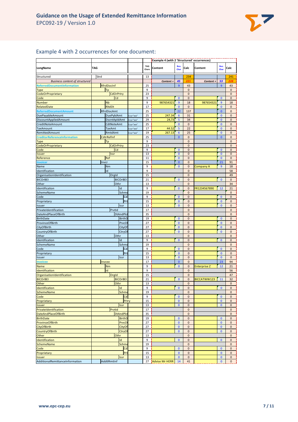

## Example 4 with 2 occurrences for one document:

| TAG<br><b>Bus</b><br>Bus.<br><b>TAG</b><br>LongName<br>Content<br>Calc<br>Content<br>Calc<br>Chars<br>Char<br>Char<br>Strd<br>13<br>Structured<br>234<br>241<br>221<br>53<br>228<br><b>Business content of structured</b><br>45<br>Content =<br>Content =<br>ReferredDocumentInformation<br>RfrdDocInf<br>25<br>$\overline{9}$<br>43<br>$\overline{9}$<br>43<br>9<br>Tp<br>$\overline{0}$<br>$\pmb{0}$<br><b>Type</b><br>CdOrPrtry<br>$\bf 0$<br><b>CodeOrProprietary</b><br>23<br>$\mathbf{0}$<br>Cd<br>9<br>$\overline{0}$<br>Code<br>$\mathbf{0}$<br>$\mathbf 0$<br>$\mathbf{0}$<br><b>Nb</b><br>9<br>9<br>987654321<br>$\overline{9}$<br>18<br>987654321<br>18<br><b>Number</b><br><b>RItdDt</b><br>$\bf{0}$<br>17<br>$\bf{0}$<br>$\mathbf 0$<br>$\mathbf{0}$<br>RelatedDate<br>RfrdDocAmt<br>25<br>22<br>137<br>$\bf{0}$<br>$\mathbf 0$<br>ReferredDocumentAmount<br>DuePayableAmount<br>DuePyblAmt<br>25<br>247.34<br>$6\phantom{1}6$<br>31<br>$\mathbf{0}$<br>$\bf{0}$<br>Ccy="xxx"<br>5<br>$\mathbf{0}$<br>DscntApldAmt<br>29<br>24,73<br>34<br>$\bf{0}$<br>DiscountAppliedAmount<br>Ccy="xxx"<br>$\bf{0}$<br>CdtNoteAmt<br>25<br>$\bf{0}$<br>$\mathbf 0$<br>$\mathbf{0}$<br>CreditNoteAmount<br>Ccy="xxx"<br><b>TaxAmt</b><br>44.52<br>5<br>22<br>$\bf{0}$<br>$\mathbf 0$<br><b>TaxAmount</b><br>17<br>Ccy="xxx"<br>RmtdAmt<br>RemittedAmount<br>19<br>267.13<br>6<br>25<br>$\mathbf{0}$<br>$\mathbf{0}$<br>Ccy="xxx"<br>CdtrRefInf<br><b>CreditorReferenceInformation</b><br>25<br>$\bf{0}$<br>$\mathbf 0$<br>$\bf{0}$<br>$\mathbf{0}$<br>Tp<br>9<br>$\mathbf 0$<br>$\mathbf{0}$<br><b>Type</b><br>CdOrPrtry<br><b>CodeOrProprietary</b><br>23<br>$\mathbf 0$<br>$\bf{0}$<br>Code<br>Cd<br>9<br>$\mathbf 0$<br>$\bf{0}$<br>$\mathbf 0$<br>$\bf{0}$<br>Issr<br>13<br>$\mathbf{0}$<br>$\overline{0}$<br>$\mathbf 0$<br>$\mathbf 0$<br><b>Issuer</b><br>$\bf{0}$<br>Ref<br>11<br>$\bf{0}$<br>$\mathbf{0}$<br>Reference<br>$\mathbf 0$<br>$\mathbf{0}$<br>21<br>Invcr<br>15<br>$\bf 0$<br>91<br><b>Invoicer</b><br>Nm<br>9<br>$\mathbf{0}$<br>$\mathbf 0$<br>9<br>18<br>Name<br>Company A<br>Id<br>9<br>$\mathbf{0}$<br>58<br>Identification<br>OrganisationIdentification<br>Orgld<br>15<br>$\mathbf 0$<br>49<br><b>BICOrBEI</b><br><b>BICOrBEI</b><br>21<br>$\bf{0}$<br>$\bf 0$<br>$\bf{0}$<br>$\mathbf{0}$<br>Othr<br>Other<br>13<br>$\mathbf{0}$<br>34<br>Id<br>$\mathbf{0}$<br>12<br>Identification<br>9<br>$\mathbf 0$<br>FR1234567890<br>21<br><b>Schme</b><br>19<br>$\mathbf 0$<br>SchemeName<br>$\mathbf 0$<br>9<br>$\bf{0}$<br>$\bf{0}$<br>Cd<br>$\mathbf 0$<br>$\mathbf{0}$<br>Code<br>15<br>Proprietary<br>Prt<br>$\bf{0}$<br>$\mathbf 0$<br>$\bf{0}$<br>$\mathbf{0}$<br>Issr<br>13<br>$\mathbf{0}$<br>$\mathbf{0}$<br>$\mathbf{0}$<br>$\mathbf{0}$<br>Issuer<br>Prvtld<br>PrivateIdentification<br>17<br>$\mathbf 0$<br>$\mathbf 0$<br>DateAndPlaceOfBirth<br><b>DtAndPlc</b><br>35<br>$\bf 0$<br>$\mathbf 0$<br><b>BirthD</b><br>19<br>$\bf{0}$<br>$\pmb{0}$<br>$\bf{0}$<br>$\mathbf 0$<br><b>BirthDate</b><br>PrvcO<br>27<br>$\bf{0}$<br>ProvinceOfBirth<br>$\bf{0}$<br>$\mathbf{0}$<br>$\mathbf{0}$<br>27<br>$\bf{0}$<br>$\mathbf 0$<br>$\bf{0}$<br>CityOfBirth<br>CityOf<br>$\mathbf{0}$<br>27<br>$\bf{0}$<br>$\bf 0$<br>$\bf{0}$<br>$\mathbf 0$<br>CountryOfBirth<br>CtryO<br>Othr<br>13<br>$\mathbf 0$<br>$\mathbf{0}$<br>Other<br>Id<br>$\bf{0}$<br>Identification<br>9<br>0<br>$\mathbf{0}$<br>$\mathbf{0}$<br><b>Schme</b><br>SchemeName<br>$\mathbf{0}$<br>19<br>$\mathbf{0}$<br>9<br>$\mathbf 0$<br>Code<br>Cd<br>$\bf{0}$<br>$\mathbf 0$<br>$\bf{0}$<br>Pr<br>15<br>$\bf{0}$<br>$\mathbf 0$<br>$\bf{0}$<br>$\bf{0}$<br>Proprietary<br>Issr<br>13<br>$\bf{0}$<br>$\mathbf{0}$<br>$\mathbf{0}$<br>$\mathbf{0}$<br>Issuer<br>Invcee<br>$\bf{0}$<br>23<br><b>Invoicee</b><br>17<br>$\mathbf 0$<br>94<br><b>Nm</b><br>9<br>$\bf{0}$<br>$\mathbf 0$<br>12<br>Name<br><b>Enterprise Z</b><br>21<br>Id<br>9<br>$\mathbf 0$<br>56<br>Identification<br>OrganisationIdentification<br>15<br>$\mathbf 0$<br>47<br>Orgid<br><b>BICOrBEI</b><br><b>BICOrBEI</b><br>21<br>$\mathbf{0}$<br>$\mathbf{0}$<br>BICCATWW123<br>11<br>32<br>Other<br>Othr<br>13<br>$\pmb{0}$<br>0<br>Identification<br>Id<br>9<br>$\bf{0}$<br>$\mathbf 0$<br>$\bf{0}$<br>$\mathbf 0$<br>19<br>SchemeName<br>Schme<br>$\mathbf 0$<br>$\pmb{0}$<br>Cd<br>9<br>$\bf{0}$<br>$\bf{0}$<br>Code<br>$\mathbf 0$<br>$\pmb{0}$<br>15<br>Prtry<br>$\pmb{0}$<br>$\mathbf 0$<br>$\pmb{0}$<br>$\mathbf 0$<br>Proprietary<br>13<br><b>Issuer</b><br><b>Issr</b><br>$\mathbf{0}$<br>$\mathbf 0$<br>$\mathbf{0}$<br>$\mathbf 0$<br>Prvtld<br>17<br>PrivateIdentification<br>$\mathbf 0$<br>$\mathbf 0$<br><b>DtAndPlc</b><br><b>DateAndPlaceOfBirth</b><br>35<br>$\pmb{0}$<br>$\pmb{0}$<br><b>BirthD</b><br><b>BirthDate</b><br>19<br>$\mathbf{0}$<br>$\pmb{0}$<br>$\bf{0}$<br>$\mathbf 0$<br>PrvcOt<br>27<br>$\pmb{0}$<br>$\mathbf{0}$<br><b>ProvinceOfBirth</b><br>$\mathbf 0$<br>$\mathbf 0$<br>CityOf<br><b>CityOfBirth</b><br>27<br>$\pmb{0}$<br>$\pmb{0}$<br>$\pmb{0}$<br>$\pmb{0}$<br>CtryOf<br>27<br>$\mathbf{0}$<br><b>CountryOfBirth</b><br>$\pmb{0}$<br>$\mathbf{0}$<br>$\pmb{0}$<br>Other<br>Othr<br>13<br>$\pmb{0}$<br>$\pmb{0}$<br>$\mathsf{Id}$<br>Identification<br>9<br>$\mathbf{0}$<br>$\mathbf 0$<br>$\mathbf{0}$<br>$\mathbf 0$<br>Schme<br>19<br>$\mathbf 0$<br><b>SchemeName</b><br>$\mathbf 0$<br>Cd<br>9<br>$\mathbf 0$<br>Code<br>$\mathbf{0}$<br>$\pmb{0}$<br>$\mathbf{0}$<br>Proprietary<br>Prt<br>15<br>$\bf{0}$<br>$\mathbf 0$<br>$\bf{0}$<br>$\mathbf 0$<br>Issr<br>13<br>$\pmb{0}$<br>$\pmb{0}$<br>$\pmb{0}$<br>$\pmb{0}$<br>Issuer<br>AdditionalRemittanceInformation<br>AddtlRmtInf<br>27 Advise Mr HERR<br>14<br>41<br>$\bf{0}$<br>$\mathbf 0$ |  |  |  |  | <b>Example 4 (with 2 'Structured' occurrences)</b> |  |  |  |  |  |  |  |
|-----------------------------------------------------------------------------------------------------------------------------------------------------------------------------------------------------------------------------------------------------------------------------------------------------------------------------------------------------------------------------------------------------------------------------------------------------------------------------------------------------------------------------------------------------------------------------------------------------------------------------------------------------------------------------------------------------------------------------------------------------------------------------------------------------------------------------------------------------------------------------------------------------------------------------------------------------------------------------------------------------------------------------------------------------------------------------------------------------------------------------------------------------------------------------------------------------------------------------------------------------------------------------------------------------------------------------------------------------------------------------------------------------------------------------------------------------------------------------------------------------------------------------------------------------------------------------------------------------------------------------------------------------------------------------------------------------------------------------------------------------------------------------------------------------------------------------------------------------------------------------------------------------------------------------------------------------------------------------------------------------------------------------------------------------------------------------------------------------------------------------------------------------------------------------------------------------------------------------------------------------------------------------------------------------------------------------------------------------------------------------------------------------------------------------------------------------------------------------------------------------------------------------------------------------------------------------------------------------------------------------------------------------------------------------------------------------------------------------------------------------------------------------------------------------------------------------------------------------------------------------------------------------------------------------------------------------------------------------------------------------------------------------------------------------------------------------------------------------------------------------------------------------------------------------------------------------------------------------------------------------------------------------------------------------------------------------------------------------------------------------------------------------------------------------------------------------------------------------------------------------------------------------------------------------------------------------------------------------------------------------------------------------------------------------------------------------------------------------------------------------------------------------------------------------------------------------------------------------------------------------------------------------------------------------------------------------------------------------------------------------------------------------------------------------------------------------------------------------------------------------------------------------------------------------------------------------------------------------------------------------------------------------------------------------------------------------------------------------------------------------------------------------------------------------------------------------------------------------------------------------------------------------------------------------------------------------------------------------------------------------------------------------------------------------------------------------------------------------------------------------------------------------------------------------------------------------------------------------------------------------------------------------------------------------------------------------------------------------------------------------------------------------------------------------------------------------------------------------------------------------------------------------------------------------------------------------------------------------------------------------------------------------------------------------------------------------------------------------------------------------------------------------------------------------------------------------------------------------------------------------------------------------------------------------------------------------------------------------------------------------------------------------------------------------------------------------------------------------------------------------------|--|--|--|--|----------------------------------------------------|--|--|--|--|--|--|--|
|                                                                                                                                                                                                                                                                                                                                                                                                                                                                                                                                                                                                                                                                                                                                                                                                                                                                                                                                                                                                                                                                                                                                                                                                                                                                                                                                                                                                                                                                                                                                                                                                                                                                                                                                                                                                                                                                                                                                                                                                                                                                                                                                                                                                                                                                                                                                                                                                                                                                                                                                                                                                                                                                                                                                                                                                                                                                                                                                                                                                                                                                                                                                                                                                                                                                                                                                                                                                                                                                                                                                                                                                                                                                                                                                                                                                                                                                                                                                                                                                                                                                                                                                                                                                                                                                                                                                                                                                                                                                                                                                                                                                                                                                                                                                                                                                                                                                                                                                                                                                                                                                                                                                                                                                                                                                                                                                                                                                                                                                                                                                                                                                                                                                                                                                                           |  |  |  |  |                                                    |  |  |  |  |  |  |  |
|                                                                                                                                                                                                                                                                                                                                                                                                                                                                                                                                                                                                                                                                                                                                                                                                                                                                                                                                                                                                                                                                                                                                                                                                                                                                                                                                                                                                                                                                                                                                                                                                                                                                                                                                                                                                                                                                                                                                                                                                                                                                                                                                                                                                                                                                                                                                                                                                                                                                                                                                                                                                                                                                                                                                                                                                                                                                                                                                                                                                                                                                                                                                                                                                                                                                                                                                                                                                                                                                                                                                                                                                                                                                                                                                                                                                                                                                                                                                                                                                                                                                                                                                                                                                                                                                                                                                                                                                                                                                                                                                                                                                                                                                                                                                                                                                                                                                                                                                                                                                                                                                                                                                                                                                                                                                                                                                                                                                                                                                                                                                                                                                                                                                                                                                                           |  |  |  |  |                                                    |  |  |  |  |  |  |  |
|                                                                                                                                                                                                                                                                                                                                                                                                                                                                                                                                                                                                                                                                                                                                                                                                                                                                                                                                                                                                                                                                                                                                                                                                                                                                                                                                                                                                                                                                                                                                                                                                                                                                                                                                                                                                                                                                                                                                                                                                                                                                                                                                                                                                                                                                                                                                                                                                                                                                                                                                                                                                                                                                                                                                                                                                                                                                                                                                                                                                                                                                                                                                                                                                                                                                                                                                                                                                                                                                                                                                                                                                                                                                                                                                                                                                                                                                                                                                                                                                                                                                                                                                                                                                                                                                                                                                                                                                                                                                                                                                                                                                                                                                                                                                                                                                                                                                                                                                                                                                                                                                                                                                                                                                                                                                                                                                                                                                                                                                                                                                                                                                                                                                                                                                                           |  |  |  |  |                                                    |  |  |  |  |  |  |  |
|                                                                                                                                                                                                                                                                                                                                                                                                                                                                                                                                                                                                                                                                                                                                                                                                                                                                                                                                                                                                                                                                                                                                                                                                                                                                                                                                                                                                                                                                                                                                                                                                                                                                                                                                                                                                                                                                                                                                                                                                                                                                                                                                                                                                                                                                                                                                                                                                                                                                                                                                                                                                                                                                                                                                                                                                                                                                                                                                                                                                                                                                                                                                                                                                                                                                                                                                                                                                                                                                                                                                                                                                                                                                                                                                                                                                                                                                                                                                                                                                                                                                                                                                                                                                                                                                                                                                                                                                                                                                                                                                                                                                                                                                                                                                                                                                                                                                                                                                                                                                                                                                                                                                                                                                                                                                                                                                                                                                                                                                                                                                                                                                                                                                                                                                                           |  |  |  |  |                                                    |  |  |  |  |  |  |  |
|                                                                                                                                                                                                                                                                                                                                                                                                                                                                                                                                                                                                                                                                                                                                                                                                                                                                                                                                                                                                                                                                                                                                                                                                                                                                                                                                                                                                                                                                                                                                                                                                                                                                                                                                                                                                                                                                                                                                                                                                                                                                                                                                                                                                                                                                                                                                                                                                                                                                                                                                                                                                                                                                                                                                                                                                                                                                                                                                                                                                                                                                                                                                                                                                                                                                                                                                                                                                                                                                                                                                                                                                                                                                                                                                                                                                                                                                                                                                                                                                                                                                                                                                                                                                                                                                                                                                                                                                                                                                                                                                                                                                                                                                                                                                                                                                                                                                                                                                                                                                                                                                                                                                                                                                                                                                                                                                                                                                                                                                                                                                                                                                                                                                                                                                                           |  |  |  |  |                                                    |  |  |  |  |  |  |  |
|                                                                                                                                                                                                                                                                                                                                                                                                                                                                                                                                                                                                                                                                                                                                                                                                                                                                                                                                                                                                                                                                                                                                                                                                                                                                                                                                                                                                                                                                                                                                                                                                                                                                                                                                                                                                                                                                                                                                                                                                                                                                                                                                                                                                                                                                                                                                                                                                                                                                                                                                                                                                                                                                                                                                                                                                                                                                                                                                                                                                                                                                                                                                                                                                                                                                                                                                                                                                                                                                                                                                                                                                                                                                                                                                                                                                                                                                                                                                                                                                                                                                                                                                                                                                                                                                                                                                                                                                                                                                                                                                                                                                                                                                                                                                                                                                                                                                                                                                                                                                                                                                                                                                                                                                                                                                                                                                                                                                                                                                                                                                                                                                                                                                                                                                                           |  |  |  |  |                                                    |  |  |  |  |  |  |  |
|                                                                                                                                                                                                                                                                                                                                                                                                                                                                                                                                                                                                                                                                                                                                                                                                                                                                                                                                                                                                                                                                                                                                                                                                                                                                                                                                                                                                                                                                                                                                                                                                                                                                                                                                                                                                                                                                                                                                                                                                                                                                                                                                                                                                                                                                                                                                                                                                                                                                                                                                                                                                                                                                                                                                                                                                                                                                                                                                                                                                                                                                                                                                                                                                                                                                                                                                                                                                                                                                                                                                                                                                                                                                                                                                                                                                                                                                                                                                                                                                                                                                                                                                                                                                                                                                                                                                                                                                                                                                                                                                                                                                                                                                                                                                                                                                                                                                                                                                                                                                                                                                                                                                                                                                                                                                                                                                                                                                                                                                                                                                                                                                                                                                                                                                                           |  |  |  |  |                                                    |  |  |  |  |  |  |  |
|                                                                                                                                                                                                                                                                                                                                                                                                                                                                                                                                                                                                                                                                                                                                                                                                                                                                                                                                                                                                                                                                                                                                                                                                                                                                                                                                                                                                                                                                                                                                                                                                                                                                                                                                                                                                                                                                                                                                                                                                                                                                                                                                                                                                                                                                                                                                                                                                                                                                                                                                                                                                                                                                                                                                                                                                                                                                                                                                                                                                                                                                                                                                                                                                                                                                                                                                                                                                                                                                                                                                                                                                                                                                                                                                                                                                                                                                                                                                                                                                                                                                                                                                                                                                                                                                                                                                                                                                                                                                                                                                                                                                                                                                                                                                                                                                                                                                                                                                                                                                                                                                                                                                                                                                                                                                                                                                                                                                                                                                                                                                                                                                                                                                                                                                                           |  |  |  |  |                                                    |  |  |  |  |  |  |  |
|                                                                                                                                                                                                                                                                                                                                                                                                                                                                                                                                                                                                                                                                                                                                                                                                                                                                                                                                                                                                                                                                                                                                                                                                                                                                                                                                                                                                                                                                                                                                                                                                                                                                                                                                                                                                                                                                                                                                                                                                                                                                                                                                                                                                                                                                                                                                                                                                                                                                                                                                                                                                                                                                                                                                                                                                                                                                                                                                                                                                                                                                                                                                                                                                                                                                                                                                                                                                                                                                                                                                                                                                                                                                                                                                                                                                                                                                                                                                                                                                                                                                                                                                                                                                                                                                                                                                                                                                                                                                                                                                                                                                                                                                                                                                                                                                                                                                                                                                                                                                                                                                                                                                                                                                                                                                                                                                                                                                                                                                                                                                                                                                                                                                                                                                                           |  |  |  |  |                                                    |  |  |  |  |  |  |  |
|                                                                                                                                                                                                                                                                                                                                                                                                                                                                                                                                                                                                                                                                                                                                                                                                                                                                                                                                                                                                                                                                                                                                                                                                                                                                                                                                                                                                                                                                                                                                                                                                                                                                                                                                                                                                                                                                                                                                                                                                                                                                                                                                                                                                                                                                                                                                                                                                                                                                                                                                                                                                                                                                                                                                                                                                                                                                                                                                                                                                                                                                                                                                                                                                                                                                                                                                                                                                                                                                                                                                                                                                                                                                                                                                                                                                                                                                                                                                                                                                                                                                                                                                                                                                                                                                                                                                                                                                                                                                                                                                                                                                                                                                                                                                                                                                                                                                                                                                                                                                                                                                                                                                                                                                                                                                                                                                                                                                                                                                                                                                                                                                                                                                                                                                                           |  |  |  |  |                                                    |  |  |  |  |  |  |  |
|                                                                                                                                                                                                                                                                                                                                                                                                                                                                                                                                                                                                                                                                                                                                                                                                                                                                                                                                                                                                                                                                                                                                                                                                                                                                                                                                                                                                                                                                                                                                                                                                                                                                                                                                                                                                                                                                                                                                                                                                                                                                                                                                                                                                                                                                                                                                                                                                                                                                                                                                                                                                                                                                                                                                                                                                                                                                                                                                                                                                                                                                                                                                                                                                                                                                                                                                                                                                                                                                                                                                                                                                                                                                                                                                                                                                                                                                                                                                                                                                                                                                                                                                                                                                                                                                                                                                                                                                                                                                                                                                                                                                                                                                                                                                                                                                                                                                                                                                                                                                                                                                                                                                                                                                                                                                                                                                                                                                                                                                                                                                                                                                                                                                                                                                                           |  |  |  |  |                                                    |  |  |  |  |  |  |  |
|                                                                                                                                                                                                                                                                                                                                                                                                                                                                                                                                                                                                                                                                                                                                                                                                                                                                                                                                                                                                                                                                                                                                                                                                                                                                                                                                                                                                                                                                                                                                                                                                                                                                                                                                                                                                                                                                                                                                                                                                                                                                                                                                                                                                                                                                                                                                                                                                                                                                                                                                                                                                                                                                                                                                                                                                                                                                                                                                                                                                                                                                                                                                                                                                                                                                                                                                                                                                                                                                                                                                                                                                                                                                                                                                                                                                                                                                                                                                                                                                                                                                                                                                                                                                                                                                                                                                                                                                                                                                                                                                                                                                                                                                                                                                                                                                                                                                                                                                                                                                                                                                                                                                                                                                                                                                                                                                                                                                                                                                                                                                                                                                                                                                                                                                                           |  |  |  |  |                                                    |  |  |  |  |  |  |  |
|                                                                                                                                                                                                                                                                                                                                                                                                                                                                                                                                                                                                                                                                                                                                                                                                                                                                                                                                                                                                                                                                                                                                                                                                                                                                                                                                                                                                                                                                                                                                                                                                                                                                                                                                                                                                                                                                                                                                                                                                                                                                                                                                                                                                                                                                                                                                                                                                                                                                                                                                                                                                                                                                                                                                                                                                                                                                                                                                                                                                                                                                                                                                                                                                                                                                                                                                                                                                                                                                                                                                                                                                                                                                                                                                                                                                                                                                                                                                                                                                                                                                                                                                                                                                                                                                                                                                                                                                                                                                                                                                                                                                                                                                                                                                                                                                                                                                                                                                                                                                                                                                                                                                                                                                                                                                                                                                                                                                                                                                                                                                                                                                                                                                                                                                                           |  |  |  |  |                                                    |  |  |  |  |  |  |  |
|                                                                                                                                                                                                                                                                                                                                                                                                                                                                                                                                                                                                                                                                                                                                                                                                                                                                                                                                                                                                                                                                                                                                                                                                                                                                                                                                                                                                                                                                                                                                                                                                                                                                                                                                                                                                                                                                                                                                                                                                                                                                                                                                                                                                                                                                                                                                                                                                                                                                                                                                                                                                                                                                                                                                                                                                                                                                                                                                                                                                                                                                                                                                                                                                                                                                                                                                                                                                                                                                                                                                                                                                                                                                                                                                                                                                                                                                                                                                                                                                                                                                                                                                                                                                                                                                                                                                                                                                                                                                                                                                                                                                                                                                                                                                                                                                                                                                                                                                                                                                                                                                                                                                                                                                                                                                                                                                                                                                                                                                                                                                                                                                                                                                                                                                                           |  |  |  |  |                                                    |  |  |  |  |  |  |  |
|                                                                                                                                                                                                                                                                                                                                                                                                                                                                                                                                                                                                                                                                                                                                                                                                                                                                                                                                                                                                                                                                                                                                                                                                                                                                                                                                                                                                                                                                                                                                                                                                                                                                                                                                                                                                                                                                                                                                                                                                                                                                                                                                                                                                                                                                                                                                                                                                                                                                                                                                                                                                                                                                                                                                                                                                                                                                                                                                                                                                                                                                                                                                                                                                                                                                                                                                                                                                                                                                                                                                                                                                                                                                                                                                                                                                                                                                                                                                                                                                                                                                                                                                                                                                                                                                                                                                                                                                                                                                                                                                                                                                                                                                                                                                                                                                                                                                                                                                                                                                                                                                                                                                                                                                                                                                                                                                                                                                                                                                                                                                                                                                                                                                                                                                                           |  |  |  |  |                                                    |  |  |  |  |  |  |  |
|                                                                                                                                                                                                                                                                                                                                                                                                                                                                                                                                                                                                                                                                                                                                                                                                                                                                                                                                                                                                                                                                                                                                                                                                                                                                                                                                                                                                                                                                                                                                                                                                                                                                                                                                                                                                                                                                                                                                                                                                                                                                                                                                                                                                                                                                                                                                                                                                                                                                                                                                                                                                                                                                                                                                                                                                                                                                                                                                                                                                                                                                                                                                                                                                                                                                                                                                                                                                                                                                                                                                                                                                                                                                                                                                                                                                                                                                                                                                                                                                                                                                                                                                                                                                                                                                                                                                                                                                                                                                                                                                                                                                                                                                                                                                                                                                                                                                                                                                                                                                                                                                                                                                                                                                                                                                                                                                                                                                                                                                                                                                                                                                                                                                                                                                                           |  |  |  |  |                                                    |  |  |  |  |  |  |  |
|                                                                                                                                                                                                                                                                                                                                                                                                                                                                                                                                                                                                                                                                                                                                                                                                                                                                                                                                                                                                                                                                                                                                                                                                                                                                                                                                                                                                                                                                                                                                                                                                                                                                                                                                                                                                                                                                                                                                                                                                                                                                                                                                                                                                                                                                                                                                                                                                                                                                                                                                                                                                                                                                                                                                                                                                                                                                                                                                                                                                                                                                                                                                                                                                                                                                                                                                                                                                                                                                                                                                                                                                                                                                                                                                                                                                                                                                                                                                                                                                                                                                                                                                                                                                                                                                                                                                                                                                                                                                                                                                                                                                                                                                                                                                                                                                                                                                                                                                                                                                                                                                                                                                                                                                                                                                                                                                                                                                                                                                                                                                                                                                                                                                                                                                                           |  |  |  |  |                                                    |  |  |  |  |  |  |  |
|                                                                                                                                                                                                                                                                                                                                                                                                                                                                                                                                                                                                                                                                                                                                                                                                                                                                                                                                                                                                                                                                                                                                                                                                                                                                                                                                                                                                                                                                                                                                                                                                                                                                                                                                                                                                                                                                                                                                                                                                                                                                                                                                                                                                                                                                                                                                                                                                                                                                                                                                                                                                                                                                                                                                                                                                                                                                                                                                                                                                                                                                                                                                                                                                                                                                                                                                                                                                                                                                                                                                                                                                                                                                                                                                                                                                                                                                                                                                                                                                                                                                                                                                                                                                                                                                                                                                                                                                                                                                                                                                                                                                                                                                                                                                                                                                                                                                                                                                                                                                                                                                                                                                                                                                                                                                                                                                                                                                                                                                                                                                                                                                                                                                                                                                                           |  |  |  |  |                                                    |  |  |  |  |  |  |  |
|                                                                                                                                                                                                                                                                                                                                                                                                                                                                                                                                                                                                                                                                                                                                                                                                                                                                                                                                                                                                                                                                                                                                                                                                                                                                                                                                                                                                                                                                                                                                                                                                                                                                                                                                                                                                                                                                                                                                                                                                                                                                                                                                                                                                                                                                                                                                                                                                                                                                                                                                                                                                                                                                                                                                                                                                                                                                                                                                                                                                                                                                                                                                                                                                                                                                                                                                                                                                                                                                                                                                                                                                                                                                                                                                                                                                                                                                                                                                                                                                                                                                                                                                                                                                                                                                                                                                                                                                                                                                                                                                                                                                                                                                                                                                                                                                                                                                                                                                                                                                                                                                                                                                                                                                                                                                                                                                                                                                                                                                                                                                                                                                                                                                                                                                                           |  |  |  |  |                                                    |  |  |  |  |  |  |  |
|                                                                                                                                                                                                                                                                                                                                                                                                                                                                                                                                                                                                                                                                                                                                                                                                                                                                                                                                                                                                                                                                                                                                                                                                                                                                                                                                                                                                                                                                                                                                                                                                                                                                                                                                                                                                                                                                                                                                                                                                                                                                                                                                                                                                                                                                                                                                                                                                                                                                                                                                                                                                                                                                                                                                                                                                                                                                                                                                                                                                                                                                                                                                                                                                                                                                                                                                                                                                                                                                                                                                                                                                                                                                                                                                                                                                                                                                                                                                                                                                                                                                                                                                                                                                                                                                                                                                                                                                                                                                                                                                                                                                                                                                                                                                                                                                                                                                                                                                                                                                                                                                                                                                                                                                                                                                                                                                                                                                                                                                                                                                                                                                                                                                                                                                                           |  |  |  |  |                                                    |  |  |  |  |  |  |  |
|                                                                                                                                                                                                                                                                                                                                                                                                                                                                                                                                                                                                                                                                                                                                                                                                                                                                                                                                                                                                                                                                                                                                                                                                                                                                                                                                                                                                                                                                                                                                                                                                                                                                                                                                                                                                                                                                                                                                                                                                                                                                                                                                                                                                                                                                                                                                                                                                                                                                                                                                                                                                                                                                                                                                                                                                                                                                                                                                                                                                                                                                                                                                                                                                                                                                                                                                                                                                                                                                                                                                                                                                                                                                                                                                                                                                                                                                                                                                                                                                                                                                                                                                                                                                                                                                                                                                                                                                                                                                                                                                                                                                                                                                                                                                                                                                                                                                                                                                                                                                                                                                                                                                                                                                                                                                                                                                                                                                                                                                                                                                                                                                                                                                                                                                                           |  |  |  |  |                                                    |  |  |  |  |  |  |  |
|                                                                                                                                                                                                                                                                                                                                                                                                                                                                                                                                                                                                                                                                                                                                                                                                                                                                                                                                                                                                                                                                                                                                                                                                                                                                                                                                                                                                                                                                                                                                                                                                                                                                                                                                                                                                                                                                                                                                                                                                                                                                                                                                                                                                                                                                                                                                                                                                                                                                                                                                                                                                                                                                                                                                                                                                                                                                                                                                                                                                                                                                                                                                                                                                                                                                                                                                                                                                                                                                                                                                                                                                                                                                                                                                                                                                                                                                                                                                                                                                                                                                                                                                                                                                                                                                                                                                                                                                                                                                                                                                                                                                                                                                                                                                                                                                                                                                                                                                                                                                                                                                                                                                                                                                                                                                                                                                                                                                                                                                                                                                                                                                                                                                                                                                                           |  |  |  |  |                                                    |  |  |  |  |  |  |  |
|                                                                                                                                                                                                                                                                                                                                                                                                                                                                                                                                                                                                                                                                                                                                                                                                                                                                                                                                                                                                                                                                                                                                                                                                                                                                                                                                                                                                                                                                                                                                                                                                                                                                                                                                                                                                                                                                                                                                                                                                                                                                                                                                                                                                                                                                                                                                                                                                                                                                                                                                                                                                                                                                                                                                                                                                                                                                                                                                                                                                                                                                                                                                                                                                                                                                                                                                                                                                                                                                                                                                                                                                                                                                                                                                                                                                                                                                                                                                                                                                                                                                                                                                                                                                                                                                                                                                                                                                                                                                                                                                                                                                                                                                                                                                                                                                                                                                                                                                                                                                                                                                                                                                                                                                                                                                                                                                                                                                                                                                                                                                                                                                                                                                                                                                                           |  |  |  |  |                                                    |  |  |  |  |  |  |  |
|                                                                                                                                                                                                                                                                                                                                                                                                                                                                                                                                                                                                                                                                                                                                                                                                                                                                                                                                                                                                                                                                                                                                                                                                                                                                                                                                                                                                                                                                                                                                                                                                                                                                                                                                                                                                                                                                                                                                                                                                                                                                                                                                                                                                                                                                                                                                                                                                                                                                                                                                                                                                                                                                                                                                                                                                                                                                                                                                                                                                                                                                                                                                                                                                                                                                                                                                                                                                                                                                                                                                                                                                                                                                                                                                                                                                                                                                                                                                                                                                                                                                                                                                                                                                                                                                                                                                                                                                                                                                                                                                                                                                                                                                                                                                                                                                                                                                                                                                                                                                                                                                                                                                                                                                                                                                                                                                                                                                                                                                                                                                                                                                                                                                                                                                                           |  |  |  |  |                                                    |  |  |  |  |  |  |  |
|                                                                                                                                                                                                                                                                                                                                                                                                                                                                                                                                                                                                                                                                                                                                                                                                                                                                                                                                                                                                                                                                                                                                                                                                                                                                                                                                                                                                                                                                                                                                                                                                                                                                                                                                                                                                                                                                                                                                                                                                                                                                                                                                                                                                                                                                                                                                                                                                                                                                                                                                                                                                                                                                                                                                                                                                                                                                                                                                                                                                                                                                                                                                                                                                                                                                                                                                                                                                                                                                                                                                                                                                                                                                                                                                                                                                                                                                                                                                                                                                                                                                                                                                                                                                                                                                                                                                                                                                                                                                                                                                                                                                                                                                                                                                                                                                                                                                                                                                                                                                                                                                                                                                                                                                                                                                                                                                                                                                                                                                                                                                                                                                                                                                                                                                                           |  |  |  |  |                                                    |  |  |  |  |  |  |  |
|                                                                                                                                                                                                                                                                                                                                                                                                                                                                                                                                                                                                                                                                                                                                                                                                                                                                                                                                                                                                                                                                                                                                                                                                                                                                                                                                                                                                                                                                                                                                                                                                                                                                                                                                                                                                                                                                                                                                                                                                                                                                                                                                                                                                                                                                                                                                                                                                                                                                                                                                                                                                                                                                                                                                                                                                                                                                                                                                                                                                                                                                                                                                                                                                                                                                                                                                                                                                                                                                                                                                                                                                                                                                                                                                                                                                                                                                                                                                                                                                                                                                                                                                                                                                                                                                                                                                                                                                                                                                                                                                                                                                                                                                                                                                                                                                                                                                                                                                                                                                                                                                                                                                                                                                                                                                                                                                                                                                                                                                                                                                                                                                                                                                                                                                                           |  |  |  |  |                                                    |  |  |  |  |  |  |  |
|                                                                                                                                                                                                                                                                                                                                                                                                                                                                                                                                                                                                                                                                                                                                                                                                                                                                                                                                                                                                                                                                                                                                                                                                                                                                                                                                                                                                                                                                                                                                                                                                                                                                                                                                                                                                                                                                                                                                                                                                                                                                                                                                                                                                                                                                                                                                                                                                                                                                                                                                                                                                                                                                                                                                                                                                                                                                                                                                                                                                                                                                                                                                                                                                                                                                                                                                                                                                                                                                                                                                                                                                                                                                                                                                                                                                                                                                                                                                                                                                                                                                                                                                                                                                                                                                                                                                                                                                                                                                                                                                                                                                                                                                                                                                                                                                                                                                                                                                                                                                                                                                                                                                                                                                                                                                                                                                                                                                                                                                                                                                                                                                                                                                                                                                                           |  |  |  |  |                                                    |  |  |  |  |  |  |  |
|                                                                                                                                                                                                                                                                                                                                                                                                                                                                                                                                                                                                                                                                                                                                                                                                                                                                                                                                                                                                                                                                                                                                                                                                                                                                                                                                                                                                                                                                                                                                                                                                                                                                                                                                                                                                                                                                                                                                                                                                                                                                                                                                                                                                                                                                                                                                                                                                                                                                                                                                                                                                                                                                                                                                                                                                                                                                                                                                                                                                                                                                                                                                                                                                                                                                                                                                                                                                                                                                                                                                                                                                                                                                                                                                                                                                                                                                                                                                                                                                                                                                                                                                                                                                                                                                                                                                                                                                                                                                                                                                                                                                                                                                                                                                                                                                                                                                                                                                                                                                                                                                                                                                                                                                                                                                                                                                                                                                                                                                                                                                                                                                                                                                                                                                                           |  |  |  |  |                                                    |  |  |  |  |  |  |  |
|                                                                                                                                                                                                                                                                                                                                                                                                                                                                                                                                                                                                                                                                                                                                                                                                                                                                                                                                                                                                                                                                                                                                                                                                                                                                                                                                                                                                                                                                                                                                                                                                                                                                                                                                                                                                                                                                                                                                                                                                                                                                                                                                                                                                                                                                                                                                                                                                                                                                                                                                                                                                                                                                                                                                                                                                                                                                                                                                                                                                                                                                                                                                                                                                                                                                                                                                                                                                                                                                                                                                                                                                                                                                                                                                                                                                                                                                                                                                                                                                                                                                                                                                                                                                                                                                                                                                                                                                                                                                                                                                                                                                                                                                                                                                                                                                                                                                                                                                                                                                                                                                                                                                                                                                                                                                                                                                                                                                                                                                                                                                                                                                                                                                                                                                                           |  |  |  |  |                                                    |  |  |  |  |  |  |  |
|                                                                                                                                                                                                                                                                                                                                                                                                                                                                                                                                                                                                                                                                                                                                                                                                                                                                                                                                                                                                                                                                                                                                                                                                                                                                                                                                                                                                                                                                                                                                                                                                                                                                                                                                                                                                                                                                                                                                                                                                                                                                                                                                                                                                                                                                                                                                                                                                                                                                                                                                                                                                                                                                                                                                                                                                                                                                                                                                                                                                                                                                                                                                                                                                                                                                                                                                                                                                                                                                                                                                                                                                                                                                                                                                                                                                                                                                                                                                                                                                                                                                                                                                                                                                                                                                                                                                                                                                                                                                                                                                                                                                                                                                                                                                                                                                                                                                                                                                                                                                                                                                                                                                                                                                                                                                                                                                                                                                                                                                                                                                                                                                                                                                                                                                                           |  |  |  |  |                                                    |  |  |  |  |  |  |  |
|                                                                                                                                                                                                                                                                                                                                                                                                                                                                                                                                                                                                                                                                                                                                                                                                                                                                                                                                                                                                                                                                                                                                                                                                                                                                                                                                                                                                                                                                                                                                                                                                                                                                                                                                                                                                                                                                                                                                                                                                                                                                                                                                                                                                                                                                                                                                                                                                                                                                                                                                                                                                                                                                                                                                                                                                                                                                                                                                                                                                                                                                                                                                                                                                                                                                                                                                                                                                                                                                                                                                                                                                                                                                                                                                                                                                                                                                                                                                                                                                                                                                                                                                                                                                                                                                                                                                                                                                                                                                                                                                                                                                                                                                                                                                                                                                                                                                                                                                                                                                                                                                                                                                                                                                                                                                                                                                                                                                                                                                                                                                                                                                                                                                                                                                                           |  |  |  |  |                                                    |  |  |  |  |  |  |  |
|                                                                                                                                                                                                                                                                                                                                                                                                                                                                                                                                                                                                                                                                                                                                                                                                                                                                                                                                                                                                                                                                                                                                                                                                                                                                                                                                                                                                                                                                                                                                                                                                                                                                                                                                                                                                                                                                                                                                                                                                                                                                                                                                                                                                                                                                                                                                                                                                                                                                                                                                                                                                                                                                                                                                                                                                                                                                                                                                                                                                                                                                                                                                                                                                                                                                                                                                                                                                                                                                                                                                                                                                                                                                                                                                                                                                                                                                                                                                                                                                                                                                                                                                                                                                                                                                                                                                                                                                                                                                                                                                                                                                                                                                                                                                                                                                                                                                                                                                                                                                                                                                                                                                                                                                                                                                                                                                                                                                                                                                                                                                                                                                                                                                                                                                                           |  |  |  |  |                                                    |  |  |  |  |  |  |  |
|                                                                                                                                                                                                                                                                                                                                                                                                                                                                                                                                                                                                                                                                                                                                                                                                                                                                                                                                                                                                                                                                                                                                                                                                                                                                                                                                                                                                                                                                                                                                                                                                                                                                                                                                                                                                                                                                                                                                                                                                                                                                                                                                                                                                                                                                                                                                                                                                                                                                                                                                                                                                                                                                                                                                                                                                                                                                                                                                                                                                                                                                                                                                                                                                                                                                                                                                                                                                                                                                                                                                                                                                                                                                                                                                                                                                                                                                                                                                                                                                                                                                                                                                                                                                                                                                                                                                                                                                                                                                                                                                                                                                                                                                                                                                                                                                                                                                                                                                                                                                                                                                                                                                                                                                                                                                                                                                                                                                                                                                                                                                                                                                                                                                                                                                                           |  |  |  |  |                                                    |  |  |  |  |  |  |  |
|                                                                                                                                                                                                                                                                                                                                                                                                                                                                                                                                                                                                                                                                                                                                                                                                                                                                                                                                                                                                                                                                                                                                                                                                                                                                                                                                                                                                                                                                                                                                                                                                                                                                                                                                                                                                                                                                                                                                                                                                                                                                                                                                                                                                                                                                                                                                                                                                                                                                                                                                                                                                                                                                                                                                                                                                                                                                                                                                                                                                                                                                                                                                                                                                                                                                                                                                                                                                                                                                                                                                                                                                                                                                                                                                                                                                                                                                                                                                                                                                                                                                                                                                                                                                                                                                                                                                                                                                                                                                                                                                                                                                                                                                                                                                                                                                                                                                                                                                                                                                                                                                                                                                                                                                                                                                                                                                                                                                                                                                                                                                                                                                                                                                                                                                                           |  |  |  |  |                                                    |  |  |  |  |  |  |  |
|                                                                                                                                                                                                                                                                                                                                                                                                                                                                                                                                                                                                                                                                                                                                                                                                                                                                                                                                                                                                                                                                                                                                                                                                                                                                                                                                                                                                                                                                                                                                                                                                                                                                                                                                                                                                                                                                                                                                                                                                                                                                                                                                                                                                                                                                                                                                                                                                                                                                                                                                                                                                                                                                                                                                                                                                                                                                                                                                                                                                                                                                                                                                                                                                                                                                                                                                                                                                                                                                                                                                                                                                                                                                                                                                                                                                                                                                                                                                                                                                                                                                                                                                                                                                                                                                                                                                                                                                                                                                                                                                                                                                                                                                                                                                                                                                                                                                                                                                                                                                                                                                                                                                                                                                                                                                                                                                                                                                                                                                                                                                                                                                                                                                                                                                                           |  |  |  |  |                                                    |  |  |  |  |  |  |  |
|                                                                                                                                                                                                                                                                                                                                                                                                                                                                                                                                                                                                                                                                                                                                                                                                                                                                                                                                                                                                                                                                                                                                                                                                                                                                                                                                                                                                                                                                                                                                                                                                                                                                                                                                                                                                                                                                                                                                                                                                                                                                                                                                                                                                                                                                                                                                                                                                                                                                                                                                                                                                                                                                                                                                                                                                                                                                                                                                                                                                                                                                                                                                                                                                                                                                                                                                                                                                                                                                                                                                                                                                                                                                                                                                                                                                                                                                                                                                                                                                                                                                                                                                                                                                                                                                                                                                                                                                                                                                                                                                                                                                                                                                                                                                                                                                                                                                                                                                                                                                                                                                                                                                                                                                                                                                                                                                                                                                                                                                                                                                                                                                                                                                                                                                                           |  |  |  |  |                                                    |  |  |  |  |  |  |  |
|                                                                                                                                                                                                                                                                                                                                                                                                                                                                                                                                                                                                                                                                                                                                                                                                                                                                                                                                                                                                                                                                                                                                                                                                                                                                                                                                                                                                                                                                                                                                                                                                                                                                                                                                                                                                                                                                                                                                                                                                                                                                                                                                                                                                                                                                                                                                                                                                                                                                                                                                                                                                                                                                                                                                                                                                                                                                                                                                                                                                                                                                                                                                                                                                                                                                                                                                                                                                                                                                                                                                                                                                                                                                                                                                                                                                                                                                                                                                                                                                                                                                                                                                                                                                                                                                                                                                                                                                                                                                                                                                                                                                                                                                                                                                                                                                                                                                                                                                                                                                                                                                                                                                                                                                                                                                                                                                                                                                                                                                                                                                                                                                                                                                                                                                                           |  |  |  |  |                                                    |  |  |  |  |  |  |  |
|                                                                                                                                                                                                                                                                                                                                                                                                                                                                                                                                                                                                                                                                                                                                                                                                                                                                                                                                                                                                                                                                                                                                                                                                                                                                                                                                                                                                                                                                                                                                                                                                                                                                                                                                                                                                                                                                                                                                                                                                                                                                                                                                                                                                                                                                                                                                                                                                                                                                                                                                                                                                                                                                                                                                                                                                                                                                                                                                                                                                                                                                                                                                                                                                                                                                                                                                                                                                                                                                                                                                                                                                                                                                                                                                                                                                                                                                                                                                                                                                                                                                                                                                                                                                                                                                                                                                                                                                                                                                                                                                                                                                                                                                                                                                                                                                                                                                                                                                                                                                                                                                                                                                                                                                                                                                                                                                                                                                                                                                                                                                                                                                                                                                                                                                                           |  |  |  |  |                                                    |  |  |  |  |  |  |  |
|                                                                                                                                                                                                                                                                                                                                                                                                                                                                                                                                                                                                                                                                                                                                                                                                                                                                                                                                                                                                                                                                                                                                                                                                                                                                                                                                                                                                                                                                                                                                                                                                                                                                                                                                                                                                                                                                                                                                                                                                                                                                                                                                                                                                                                                                                                                                                                                                                                                                                                                                                                                                                                                                                                                                                                                                                                                                                                                                                                                                                                                                                                                                                                                                                                                                                                                                                                                                                                                                                                                                                                                                                                                                                                                                                                                                                                                                                                                                                                                                                                                                                                                                                                                                                                                                                                                                                                                                                                                                                                                                                                                                                                                                                                                                                                                                                                                                                                                                                                                                                                                                                                                                                                                                                                                                                                                                                                                                                                                                                                                                                                                                                                                                                                                                                           |  |  |  |  |                                                    |  |  |  |  |  |  |  |
|                                                                                                                                                                                                                                                                                                                                                                                                                                                                                                                                                                                                                                                                                                                                                                                                                                                                                                                                                                                                                                                                                                                                                                                                                                                                                                                                                                                                                                                                                                                                                                                                                                                                                                                                                                                                                                                                                                                                                                                                                                                                                                                                                                                                                                                                                                                                                                                                                                                                                                                                                                                                                                                                                                                                                                                                                                                                                                                                                                                                                                                                                                                                                                                                                                                                                                                                                                                                                                                                                                                                                                                                                                                                                                                                                                                                                                                                                                                                                                                                                                                                                                                                                                                                                                                                                                                                                                                                                                                                                                                                                                                                                                                                                                                                                                                                                                                                                                                                                                                                                                                                                                                                                                                                                                                                                                                                                                                                                                                                                                                                                                                                                                                                                                                                                           |  |  |  |  |                                                    |  |  |  |  |  |  |  |
|                                                                                                                                                                                                                                                                                                                                                                                                                                                                                                                                                                                                                                                                                                                                                                                                                                                                                                                                                                                                                                                                                                                                                                                                                                                                                                                                                                                                                                                                                                                                                                                                                                                                                                                                                                                                                                                                                                                                                                                                                                                                                                                                                                                                                                                                                                                                                                                                                                                                                                                                                                                                                                                                                                                                                                                                                                                                                                                                                                                                                                                                                                                                                                                                                                                                                                                                                                                                                                                                                                                                                                                                                                                                                                                                                                                                                                                                                                                                                                                                                                                                                                                                                                                                                                                                                                                                                                                                                                                                                                                                                                                                                                                                                                                                                                                                                                                                                                                                                                                                                                                                                                                                                                                                                                                                                                                                                                                                                                                                                                                                                                                                                                                                                                                                                           |  |  |  |  |                                                    |  |  |  |  |  |  |  |
|                                                                                                                                                                                                                                                                                                                                                                                                                                                                                                                                                                                                                                                                                                                                                                                                                                                                                                                                                                                                                                                                                                                                                                                                                                                                                                                                                                                                                                                                                                                                                                                                                                                                                                                                                                                                                                                                                                                                                                                                                                                                                                                                                                                                                                                                                                                                                                                                                                                                                                                                                                                                                                                                                                                                                                                                                                                                                                                                                                                                                                                                                                                                                                                                                                                                                                                                                                                                                                                                                                                                                                                                                                                                                                                                                                                                                                                                                                                                                                                                                                                                                                                                                                                                                                                                                                                                                                                                                                                                                                                                                                                                                                                                                                                                                                                                                                                                                                                                                                                                                                                                                                                                                                                                                                                                                                                                                                                                                                                                                                                                                                                                                                                                                                                                                           |  |  |  |  |                                                    |  |  |  |  |  |  |  |
|                                                                                                                                                                                                                                                                                                                                                                                                                                                                                                                                                                                                                                                                                                                                                                                                                                                                                                                                                                                                                                                                                                                                                                                                                                                                                                                                                                                                                                                                                                                                                                                                                                                                                                                                                                                                                                                                                                                                                                                                                                                                                                                                                                                                                                                                                                                                                                                                                                                                                                                                                                                                                                                                                                                                                                                                                                                                                                                                                                                                                                                                                                                                                                                                                                                                                                                                                                                                                                                                                                                                                                                                                                                                                                                                                                                                                                                                                                                                                                                                                                                                                                                                                                                                                                                                                                                                                                                                                                                                                                                                                                                                                                                                                                                                                                                                                                                                                                                                                                                                                                                                                                                                                                                                                                                                                                                                                                                                                                                                                                                                                                                                                                                                                                                                                           |  |  |  |  |                                                    |  |  |  |  |  |  |  |
|                                                                                                                                                                                                                                                                                                                                                                                                                                                                                                                                                                                                                                                                                                                                                                                                                                                                                                                                                                                                                                                                                                                                                                                                                                                                                                                                                                                                                                                                                                                                                                                                                                                                                                                                                                                                                                                                                                                                                                                                                                                                                                                                                                                                                                                                                                                                                                                                                                                                                                                                                                                                                                                                                                                                                                                                                                                                                                                                                                                                                                                                                                                                                                                                                                                                                                                                                                                                                                                                                                                                                                                                                                                                                                                                                                                                                                                                                                                                                                                                                                                                                                                                                                                                                                                                                                                                                                                                                                                                                                                                                                                                                                                                                                                                                                                                                                                                                                                                                                                                                                                                                                                                                                                                                                                                                                                                                                                                                                                                                                                                                                                                                                                                                                                                                           |  |  |  |  |                                                    |  |  |  |  |  |  |  |
|                                                                                                                                                                                                                                                                                                                                                                                                                                                                                                                                                                                                                                                                                                                                                                                                                                                                                                                                                                                                                                                                                                                                                                                                                                                                                                                                                                                                                                                                                                                                                                                                                                                                                                                                                                                                                                                                                                                                                                                                                                                                                                                                                                                                                                                                                                                                                                                                                                                                                                                                                                                                                                                                                                                                                                                                                                                                                                                                                                                                                                                                                                                                                                                                                                                                                                                                                                                                                                                                                                                                                                                                                                                                                                                                                                                                                                                                                                                                                                                                                                                                                                                                                                                                                                                                                                                                                                                                                                                                                                                                                                                                                                                                                                                                                                                                                                                                                                                                                                                                                                                                                                                                                                                                                                                                                                                                                                                                                                                                                                                                                                                                                                                                                                                                                           |  |  |  |  |                                                    |  |  |  |  |  |  |  |
|                                                                                                                                                                                                                                                                                                                                                                                                                                                                                                                                                                                                                                                                                                                                                                                                                                                                                                                                                                                                                                                                                                                                                                                                                                                                                                                                                                                                                                                                                                                                                                                                                                                                                                                                                                                                                                                                                                                                                                                                                                                                                                                                                                                                                                                                                                                                                                                                                                                                                                                                                                                                                                                                                                                                                                                                                                                                                                                                                                                                                                                                                                                                                                                                                                                                                                                                                                                                                                                                                                                                                                                                                                                                                                                                                                                                                                                                                                                                                                                                                                                                                                                                                                                                                                                                                                                                                                                                                                                                                                                                                                                                                                                                                                                                                                                                                                                                                                                                                                                                                                                                                                                                                                                                                                                                                                                                                                                                                                                                                                                                                                                                                                                                                                                                                           |  |  |  |  |                                                    |  |  |  |  |  |  |  |
|                                                                                                                                                                                                                                                                                                                                                                                                                                                                                                                                                                                                                                                                                                                                                                                                                                                                                                                                                                                                                                                                                                                                                                                                                                                                                                                                                                                                                                                                                                                                                                                                                                                                                                                                                                                                                                                                                                                                                                                                                                                                                                                                                                                                                                                                                                                                                                                                                                                                                                                                                                                                                                                                                                                                                                                                                                                                                                                                                                                                                                                                                                                                                                                                                                                                                                                                                                                                                                                                                                                                                                                                                                                                                                                                                                                                                                                                                                                                                                                                                                                                                                                                                                                                                                                                                                                                                                                                                                                                                                                                                                                                                                                                                                                                                                                                                                                                                                                                                                                                                                                                                                                                                                                                                                                                                                                                                                                                                                                                                                                                                                                                                                                                                                                                                           |  |  |  |  |                                                    |  |  |  |  |  |  |  |
|                                                                                                                                                                                                                                                                                                                                                                                                                                                                                                                                                                                                                                                                                                                                                                                                                                                                                                                                                                                                                                                                                                                                                                                                                                                                                                                                                                                                                                                                                                                                                                                                                                                                                                                                                                                                                                                                                                                                                                                                                                                                                                                                                                                                                                                                                                                                                                                                                                                                                                                                                                                                                                                                                                                                                                                                                                                                                                                                                                                                                                                                                                                                                                                                                                                                                                                                                                                                                                                                                                                                                                                                                                                                                                                                                                                                                                                                                                                                                                                                                                                                                                                                                                                                                                                                                                                                                                                                                                                                                                                                                                                                                                                                                                                                                                                                                                                                                                                                                                                                                                                                                                                                                                                                                                                                                                                                                                                                                                                                                                                                                                                                                                                                                                                                                           |  |  |  |  |                                                    |  |  |  |  |  |  |  |
|                                                                                                                                                                                                                                                                                                                                                                                                                                                                                                                                                                                                                                                                                                                                                                                                                                                                                                                                                                                                                                                                                                                                                                                                                                                                                                                                                                                                                                                                                                                                                                                                                                                                                                                                                                                                                                                                                                                                                                                                                                                                                                                                                                                                                                                                                                                                                                                                                                                                                                                                                                                                                                                                                                                                                                                                                                                                                                                                                                                                                                                                                                                                                                                                                                                                                                                                                                                                                                                                                                                                                                                                                                                                                                                                                                                                                                                                                                                                                                                                                                                                                                                                                                                                                                                                                                                                                                                                                                                                                                                                                                                                                                                                                                                                                                                                                                                                                                                                                                                                                                                                                                                                                                                                                                                                                                                                                                                                                                                                                                                                                                                                                                                                                                                                                           |  |  |  |  |                                                    |  |  |  |  |  |  |  |
|                                                                                                                                                                                                                                                                                                                                                                                                                                                                                                                                                                                                                                                                                                                                                                                                                                                                                                                                                                                                                                                                                                                                                                                                                                                                                                                                                                                                                                                                                                                                                                                                                                                                                                                                                                                                                                                                                                                                                                                                                                                                                                                                                                                                                                                                                                                                                                                                                                                                                                                                                                                                                                                                                                                                                                                                                                                                                                                                                                                                                                                                                                                                                                                                                                                                                                                                                                                                                                                                                                                                                                                                                                                                                                                                                                                                                                                                                                                                                                                                                                                                                                                                                                                                                                                                                                                                                                                                                                                                                                                                                                                                                                                                                                                                                                                                                                                                                                                                                                                                                                                                                                                                                                                                                                                                                                                                                                                                                                                                                                                                                                                                                                                                                                                                                           |  |  |  |  |                                                    |  |  |  |  |  |  |  |
|                                                                                                                                                                                                                                                                                                                                                                                                                                                                                                                                                                                                                                                                                                                                                                                                                                                                                                                                                                                                                                                                                                                                                                                                                                                                                                                                                                                                                                                                                                                                                                                                                                                                                                                                                                                                                                                                                                                                                                                                                                                                                                                                                                                                                                                                                                                                                                                                                                                                                                                                                                                                                                                                                                                                                                                                                                                                                                                                                                                                                                                                                                                                                                                                                                                                                                                                                                                                                                                                                                                                                                                                                                                                                                                                                                                                                                                                                                                                                                                                                                                                                                                                                                                                                                                                                                                                                                                                                                                                                                                                                                                                                                                                                                                                                                                                                                                                                                                                                                                                                                                                                                                                                                                                                                                                                                                                                                                                                                                                                                                                                                                                                                                                                                                                                           |  |  |  |  |                                                    |  |  |  |  |  |  |  |
|                                                                                                                                                                                                                                                                                                                                                                                                                                                                                                                                                                                                                                                                                                                                                                                                                                                                                                                                                                                                                                                                                                                                                                                                                                                                                                                                                                                                                                                                                                                                                                                                                                                                                                                                                                                                                                                                                                                                                                                                                                                                                                                                                                                                                                                                                                                                                                                                                                                                                                                                                                                                                                                                                                                                                                                                                                                                                                                                                                                                                                                                                                                                                                                                                                                                                                                                                                                                                                                                                                                                                                                                                                                                                                                                                                                                                                                                                                                                                                                                                                                                                                                                                                                                                                                                                                                                                                                                                                                                                                                                                                                                                                                                                                                                                                                                                                                                                                                                                                                                                                                                                                                                                                                                                                                                                                                                                                                                                                                                                                                                                                                                                                                                                                                                                           |  |  |  |  |                                                    |  |  |  |  |  |  |  |
|                                                                                                                                                                                                                                                                                                                                                                                                                                                                                                                                                                                                                                                                                                                                                                                                                                                                                                                                                                                                                                                                                                                                                                                                                                                                                                                                                                                                                                                                                                                                                                                                                                                                                                                                                                                                                                                                                                                                                                                                                                                                                                                                                                                                                                                                                                                                                                                                                                                                                                                                                                                                                                                                                                                                                                                                                                                                                                                                                                                                                                                                                                                                                                                                                                                                                                                                                                                                                                                                                                                                                                                                                                                                                                                                                                                                                                                                                                                                                                                                                                                                                                                                                                                                                                                                                                                                                                                                                                                                                                                                                                                                                                                                                                                                                                                                                                                                                                                                                                                                                                                                                                                                                                                                                                                                                                                                                                                                                                                                                                                                                                                                                                                                                                                                                           |  |  |  |  |                                                    |  |  |  |  |  |  |  |
|                                                                                                                                                                                                                                                                                                                                                                                                                                                                                                                                                                                                                                                                                                                                                                                                                                                                                                                                                                                                                                                                                                                                                                                                                                                                                                                                                                                                                                                                                                                                                                                                                                                                                                                                                                                                                                                                                                                                                                                                                                                                                                                                                                                                                                                                                                                                                                                                                                                                                                                                                                                                                                                                                                                                                                                                                                                                                                                                                                                                                                                                                                                                                                                                                                                                                                                                                                                                                                                                                                                                                                                                                                                                                                                                                                                                                                                                                                                                                                                                                                                                                                                                                                                                                                                                                                                                                                                                                                                                                                                                                                                                                                                                                                                                                                                                                                                                                                                                                                                                                                                                                                                                                                                                                                                                                                                                                                                                                                                                                                                                                                                                                                                                                                                                                           |  |  |  |  |                                                    |  |  |  |  |  |  |  |
|                                                                                                                                                                                                                                                                                                                                                                                                                                                                                                                                                                                                                                                                                                                                                                                                                                                                                                                                                                                                                                                                                                                                                                                                                                                                                                                                                                                                                                                                                                                                                                                                                                                                                                                                                                                                                                                                                                                                                                                                                                                                                                                                                                                                                                                                                                                                                                                                                                                                                                                                                                                                                                                                                                                                                                                                                                                                                                                                                                                                                                                                                                                                                                                                                                                                                                                                                                                                                                                                                                                                                                                                                                                                                                                                                                                                                                                                                                                                                                                                                                                                                                                                                                                                                                                                                                                                                                                                                                                                                                                                                                                                                                                                                                                                                                                                                                                                                                                                                                                                                                                                                                                                                                                                                                                                                                                                                                                                                                                                                                                                                                                                                                                                                                                                                           |  |  |  |  |                                                    |  |  |  |  |  |  |  |
|                                                                                                                                                                                                                                                                                                                                                                                                                                                                                                                                                                                                                                                                                                                                                                                                                                                                                                                                                                                                                                                                                                                                                                                                                                                                                                                                                                                                                                                                                                                                                                                                                                                                                                                                                                                                                                                                                                                                                                                                                                                                                                                                                                                                                                                                                                                                                                                                                                                                                                                                                                                                                                                                                                                                                                                                                                                                                                                                                                                                                                                                                                                                                                                                                                                                                                                                                                                                                                                                                                                                                                                                                                                                                                                                                                                                                                                                                                                                                                                                                                                                                                                                                                                                                                                                                                                                                                                                                                                                                                                                                                                                                                                                                                                                                                                                                                                                                                                                                                                                                                                                                                                                                                                                                                                                                                                                                                                                                                                                                                                                                                                                                                                                                                                                                           |  |  |  |  |                                                    |  |  |  |  |  |  |  |
|                                                                                                                                                                                                                                                                                                                                                                                                                                                                                                                                                                                                                                                                                                                                                                                                                                                                                                                                                                                                                                                                                                                                                                                                                                                                                                                                                                                                                                                                                                                                                                                                                                                                                                                                                                                                                                                                                                                                                                                                                                                                                                                                                                                                                                                                                                                                                                                                                                                                                                                                                                                                                                                                                                                                                                                                                                                                                                                                                                                                                                                                                                                                                                                                                                                                                                                                                                                                                                                                                                                                                                                                                                                                                                                                                                                                                                                                                                                                                                                                                                                                                                                                                                                                                                                                                                                                                                                                                                                                                                                                                                                                                                                                                                                                                                                                                                                                                                                                                                                                                                                                                                                                                                                                                                                                                                                                                                                                                                                                                                                                                                                                                                                                                                                                                           |  |  |  |  |                                                    |  |  |  |  |  |  |  |
|                                                                                                                                                                                                                                                                                                                                                                                                                                                                                                                                                                                                                                                                                                                                                                                                                                                                                                                                                                                                                                                                                                                                                                                                                                                                                                                                                                                                                                                                                                                                                                                                                                                                                                                                                                                                                                                                                                                                                                                                                                                                                                                                                                                                                                                                                                                                                                                                                                                                                                                                                                                                                                                                                                                                                                                                                                                                                                                                                                                                                                                                                                                                                                                                                                                                                                                                                                                                                                                                                                                                                                                                                                                                                                                                                                                                                                                                                                                                                                                                                                                                                                                                                                                                                                                                                                                                                                                                                                                                                                                                                                                                                                                                                                                                                                                                                                                                                                                                                                                                                                                                                                                                                                                                                                                                                                                                                                                                                                                                                                                                                                                                                                                                                                                                                           |  |  |  |  |                                                    |  |  |  |  |  |  |  |
|                                                                                                                                                                                                                                                                                                                                                                                                                                                                                                                                                                                                                                                                                                                                                                                                                                                                                                                                                                                                                                                                                                                                                                                                                                                                                                                                                                                                                                                                                                                                                                                                                                                                                                                                                                                                                                                                                                                                                                                                                                                                                                                                                                                                                                                                                                                                                                                                                                                                                                                                                                                                                                                                                                                                                                                                                                                                                                                                                                                                                                                                                                                                                                                                                                                                                                                                                                                                                                                                                                                                                                                                                                                                                                                                                                                                                                                                                                                                                                                                                                                                                                                                                                                                                                                                                                                                                                                                                                                                                                                                                                                                                                                                                                                                                                                                                                                                                                                                                                                                                                                                                                                                                                                                                                                                                                                                                                                                                                                                                                                                                                                                                                                                                                                                                           |  |  |  |  |                                                    |  |  |  |  |  |  |  |
|                                                                                                                                                                                                                                                                                                                                                                                                                                                                                                                                                                                                                                                                                                                                                                                                                                                                                                                                                                                                                                                                                                                                                                                                                                                                                                                                                                                                                                                                                                                                                                                                                                                                                                                                                                                                                                                                                                                                                                                                                                                                                                                                                                                                                                                                                                                                                                                                                                                                                                                                                                                                                                                                                                                                                                                                                                                                                                                                                                                                                                                                                                                                                                                                                                                                                                                                                                                                                                                                                                                                                                                                                                                                                                                                                                                                                                                                                                                                                                                                                                                                                                                                                                                                                                                                                                                                                                                                                                                                                                                                                                                                                                                                                                                                                                                                                                                                                                                                                                                                                                                                                                                                                                                                                                                                                                                                                                                                                                                                                                                                                                                                                                                                                                                                                           |  |  |  |  |                                                    |  |  |  |  |  |  |  |
|                                                                                                                                                                                                                                                                                                                                                                                                                                                                                                                                                                                                                                                                                                                                                                                                                                                                                                                                                                                                                                                                                                                                                                                                                                                                                                                                                                                                                                                                                                                                                                                                                                                                                                                                                                                                                                                                                                                                                                                                                                                                                                                                                                                                                                                                                                                                                                                                                                                                                                                                                                                                                                                                                                                                                                                                                                                                                                                                                                                                                                                                                                                                                                                                                                                                                                                                                                                                                                                                                                                                                                                                                                                                                                                                                                                                                                                                                                                                                                                                                                                                                                                                                                                                                                                                                                                                                                                                                                                                                                                                                                                                                                                                                                                                                                                                                                                                                                                                                                                                                                                                                                                                                                                                                                                                                                                                                                                                                                                                                                                                                                                                                                                                                                                                                           |  |  |  |  |                                                    |  |  |  |  |  |  |  |
|                                                                                                                                                                                                                                                                                                                                                                                                                                                                                                                                                                                                                                                                                                                                                                                                                                                                                                                                                                                                                                                                                                                                                                                                                                                                                                                                                                                                                                                                                                                                                                                                                                                                                                                                                                                                                                                                                                                                                                                                                                                                                                                                                                                                                                                                                                                                                                                                                                                                                                                                                                                                                                                                                                                                                                                                                                                                                                                                                                                                                                                                                                                                                                                                                                                                                                                                                                                                                                                                                                                                                                                                                                                                                                                                                                                                                                                                                                                                                                                                                                                                                                                                                                                                                                                                                                                                                                                                                                                                                                                                                                                                                                                                                                                                                                                                                                                                                                                                                                                                                                                                                                                                                                                                                                                                                                                                                                                                                                                                                                                                                                                                                                                                                                                                                           |  |  |  |  |                                                    |  |  |  |  |  |  |  |
|                                                                                                                                                                                                                                                                                                                                                                                                                                                                                                                                                                                                                                                                                                                                                                                                                                                                                                                                                                                                                                                                                                                                                                                                                                                                                                                                                                                                                                                                                                                                                                                                                                                                                                                                                                                                                                                                                                                                                                                                                                                                                                                                                                                                                                                                                                                                                                                                                                                                                                                                                                                                                                                                                                                                                                                                                                                                                                                                                                                                                                                                                                                                                                                                                                                                                                                                                                                                                                                                                                                                                                                                                                                                                                                                                                                                                                                                                                                                                                                                                                                                                                                                                                                                                                                                                                                                                                                                                                                                                                                                                                                                                                                                                                                                                                                                                                                                                                                                                                                                                                                                                                                                                                                                                                                                                                                                                                                                                                                                                                                                                                                                                                                                                                                                                           |  |  |  |  |                                                    |  |  |  |  |  |  |  |
|                                                                                                                                                                                                                                                                                                                                                                                                                                                                                                                                                                                                                                                                                                                                                                                                                                                                                                                                                                                                                                                                                                                                                                                                                                                                                                                                                                                                                                                                                                                                                                                                                                                                                                                                                                                                                                                                                                                                                                                                                                                                                                                                                                                                                                                                                                                                                                                                                                                                                                                                                                                                                                                                                                                                                                                                                                                                                                                                                                                                                                                                                                                                                                                                                                                                                                                                                                                                                                                                                                                                                                                                                                                                                                                                                                                                                                                                                                                                                                                                                                                                                                                                                                                                                                                                                                                                                                                                                                                                                                                                                                                                                                                                                                                                                                                                                                                                                                                                                                                                                                                                                                                                                                                                                                                                                                                                                                                                                                                                                                                                                                                                                                                                                                                                                           |  |  |  |  |                                                    |  |  |  |  |  |  |  |
|                                                                                                                                                                                                                                                                                                                                                                                                                                                                                                                                                                                                                                                                                                                                                                                                                                                                                                                                                                                                                                                                                                                                                                                                                                                                                                                                                                                                                                                                                                                                                                                                                                                                                                                                                                                                                                                                                                                                                                                                                                                                                                                                                                                                                                                                                                                                                                                                                                                                                                                                                                                                                                                                                                                                                                                                                                                                                                                                                                                                                                                                                                                                                                                                                                                                                                                                                                                                                                                                                                                                                                                                                                                                                                                                                                                                                                                                                                                                                                                                                                                                                                                                                                                                                                                                                                                                                                                                                                                                                                                                                                                                                                                                                                                                                                                                                                                                                                                                                                                                                                                                                                                                                                                                                                                                                                                                                                                                                                                                                                                                                                                                                                                                                                                                                           |  |  |  |  |                                                    |  |  |  |  |  |  |  |
|                                                                                                                                                                                                                                                                                                                                                                                                                                                                                                                                                                                                                                                                                                                                                                                                                                                                                                                                                                                                                                                                                                                                                                                                                                                                                                                                                                                                                                                                                                                                                                                                                                                                                                                                                                                                                                                                                                                                                                                                                                                                                                                                                                                                                                                                                                                                                                                                                                                                                                                                                                                                                                                                                                                                                                                                                                                                                                                                                                                                                                                                                                                                                                                                                                                                                                                                                                                                                                                                                                                                                                                                                                                                                                                                                                                                                                                                                                                                                                                                                                                                                                                                                                                                                                                                                                                                                                                                                                                                                                                                                                                                                                                                                                                                                                                                                                                                                                                                                                                                                                                                                                                                                                                                                                                                                                                                                                                                                                                                                                                                                                                                                                                                                                                                                           |  |  |  |  |                                                    |  |  |  |  |  |  |  |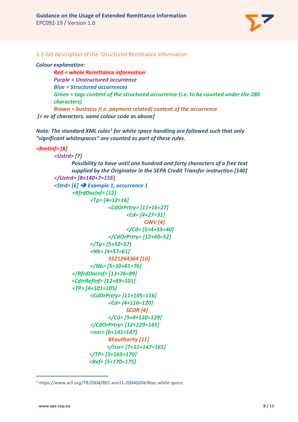

3.3 ISO description of the 'Structured Remittance Information'

#### *Colour explanation:*

*Red = whole Remittance information Purple = Unstructured occurrence Blue = Structured occurrences Green = tags content of the structured occurrence (i.e. to be counted under the 280 characters) Brown = business (i.e. payment related) content of the occurrence [= nr of characters, same colour code as above]*

*Note: The standard XML rules[1](#page-7-0) for white space handling are followed such that only "significant whitespaces" are counted as part of these rules.*

```
<RmtInf> [8]
```

```
<Ustrd> [7]
      Possibility to have until one hundred and forty characters of a free text 
      supplied by the Originator in the SEPA Credit Transfer instruction [140]
</Ustrd> [8+140+7=155]
<Strd> [6]  Example 1, occurrence 1
       <RfrdDocInf> [12]
             <Tp> [4+12=16]
                    <CdOrPrtry> [11+16=27]
                           <Cd> [4+27=31]
                                  CINV [4]
                           </Cd> [5+4+35=40]
                    </CdOrPrtry> [12+40=52]
             </Tp> [5+52=57]
             <Nb> [4+57=61]
                    3521264364 [10]
             </Nb> [5+10+61=76]
       </RfrdDocInf> [13+76=89]
      <CdtrRefInf> [12+89=101]
       <TP> [4+101=105]
             <CdOrPrtry> [11+105=116]
                    <Cd> [4+116=120]
                           SCOR [4]
                    </Cd> [5+4+120=129]
             </CdOrPrtry> [12+129=141]
             <Issr> [6+141=147]
                    BEauthority [11]
                    </Issr> [7+11+147=165]
             </TP> [5+165=170]
             <Ref> [5+170=175]
```
 $\overline{a}$ 

<span id="page-7-0"></span><sup>1</sup> *https://www.w3.org/TR/2004/REC-xml11-20040204/#sec-white-space.*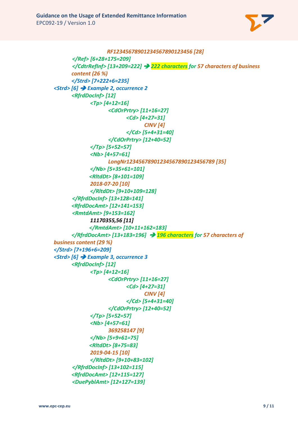

```
RF12345678901234567890123456 [28]
      </Ref> [6+28+175=209]
      </CdtrRefInf> [13+209=222]  222 characters for 57 characters of business 
      content (26 %)
      </Strd> [7+222+6=235]
<Strd> [6]  Example 2, occurrence 2
      <RfrdDocInf> [12]
             <Tp> [4+12=16]
                    <CdOrPrtry> [11+16=27]
                          <Cd> [4+27=31]
                                 CINV [4]
                          </Cd> [5+4+31=40]
                    </CdOrPrtry> [12+40=52]
             </Tp> [5+52=57]
             <Nb> [4+57=61]
                    LongNr12345678901234567890123456789 [35]
             </Nb> [5+35+61=101]
             <RltdDt> [8+101=109]
             2018-07-20 [10]
             </RltdDt> [9+10+109=128]
      </RfrdDocInf> [13+128=141]
      <RfrdDocAmt> [12+141=153]
      <RmtdAmt> [9+153=162]
             11170355,56 [11]
             </RmtdAmt> [10+11+162=183]
      </RfrdDocAmt> [13+183=196]  196 characters for 57 characters of 
business content (29 %)
</Strd> [7+196+6=209]
<Strd> [6]  Example 3, occurrence 3
      <RfrdDocInf> [12]
             <Tp> [4+12=16]
                    <CdOrPrtry> [11+16=27]
                          <Cd> [4+27=31]
                                 CINV [4]
                          </Cd> [5+4+31=40]
                    </CdOrPrtry> [12+40=52]
             </Tp> [5+52=57]
             <Nb> [4+57=61]
                   369258147 [9]
             </Nb> [5+9+61=75]
             <RltdDt> [8+75=83]
             2019-04-15 [10]
             </RltdDt> [9+10+83=102]
      </RfrdDocInf> [13+102=115]
      <RfrdDocAmt> [12+115=127]
      <DuePyblAmt> [12+127=139]
```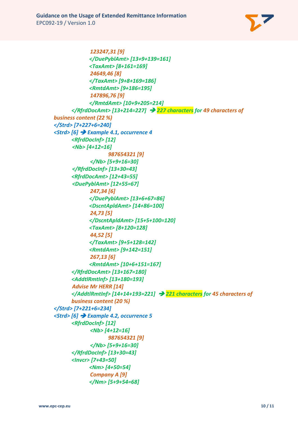

```
123247,31 [9]
            </DuePyblAmt> [13+9+139=161]
            <TaxAmt> [8+161=169]
             24649,46 [8]
            </TaxAmt> [9+8+169=186]
            <RmtdAmt> [9+186=195]
             147896,76 [9]
            </RmtdAmt> [10+9+205=214]
      </RfrdDocAmt> [13+214=227]  227 characters for 49 characters of 
business content (22 %)
</Strd> [7+227+6=240]
<Strd> [6]  Example 4.1, occurrence 4
      <RfrdDocInf> [12]
      <Nb> [4+12=16]
                   987654321 [9]
             </Nb> [5+9+16=30]
      </RfrdDocInf> [13+30=43]
      <RfrdDocAmt> [12+43=55]
      <DuePyblAmt> [12+55=67]
             247,34 [6]
            </DuePyblAmt> [13+6+67=86]
            <DscntApldAmt> [14+86=100]
             24,73 [5]
            </DscntApldAmt> [15+5+100=120]
            <TaxAmt> [8+120=128]
             44,52 [5]
            </TaxAmt> [9+5+128=142]
            <RmtdAmt> [9+142=151]
             267,13 [6]
            <RmtdAmt> [10+6+151=167]
      </RfrdDocAmt> [13+167=180]
      <AddtlRmtInf> [13+180=193]
      Advise Mr HERR [14]
      </AddtlRmtInf> [14+14+193=221]  221 characters for 45 characters of 
      business content (20 %)
</Strd> [7+221+6=234]
<Strd> [6]  Example 4.2, occurrence 5
      <RfrdDocInf> [12]
             <Nb> [4+12=16]
                   987654321 [9]
             </Nb> [5+9+16=30]
      </RfrdDocInf> [13+30=43]
      <Invcr> [7+43=50]
            <Nm> [4+50=54]
             Company A [9]
            </Nm> [5+9+54=68]
```